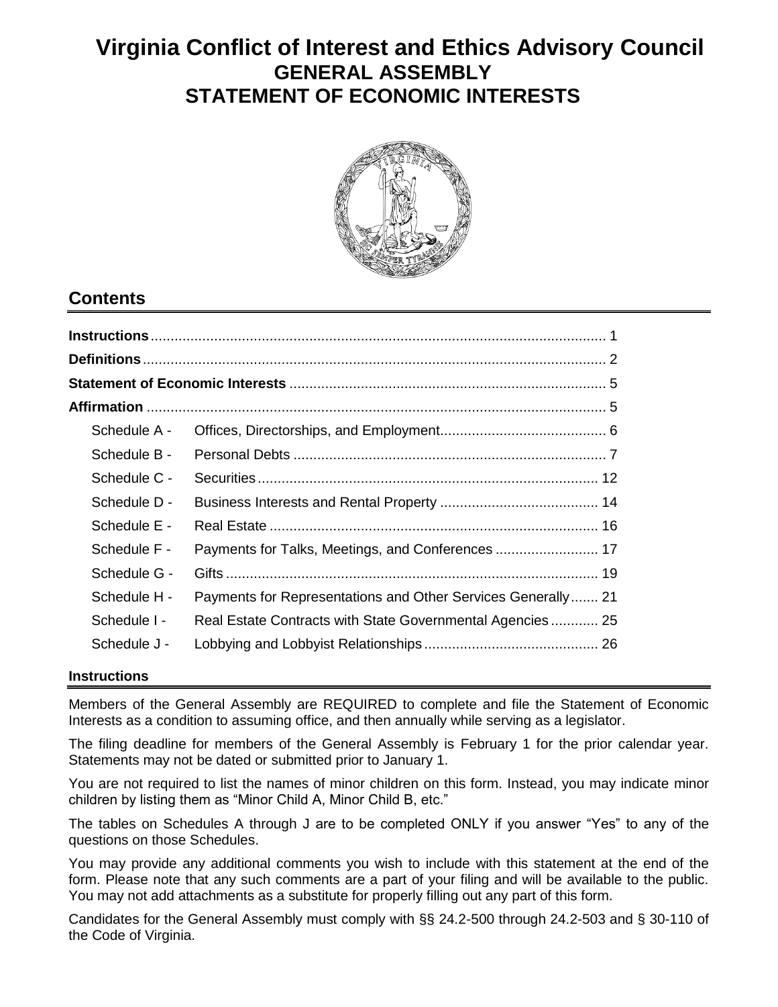# **Virginia Conflict of Interest and Ethics Advisory Council GENERAL ASSEMBLY STATEMENT OF ECONOMIC INTERESTS**



## **Contents**

| Schedule A - |                                                              |  |
|--------------|--------------------------------------------------------------|--|
| Schedule B - |                                                              |  |
| Schedule C - |                                                              |  |
| Schedule D - |                                                              |  |
| Schedule E - |                                                              |  |
| Schedule F - |                                                              |  |
| Schedule G - |                                                              |  |
| Schedule H - | Payments for Representations and Other Services Generally 21 |  |
| Schedule I - | Real Estate Contracts with State Governmental Agencies 25    |  |
| Schedule J - |                                                              |  |

#### **Instructions**

Members of the General Assembly are REQUIRED to complete and file the Statement of Economic Interests as a condition to assuming office, and then annually while serving as a legislator.

The filing deadline for members of the General Assembly is February 1 for the prior calendar year. Statements may not be dated or submitted prior to January 1.

You are not required to list the names of minor children on this form. Instead, you may indicate minor children by listing them as "Minor Child A, Minor Child B, etc."

The tables on Schedules A through J are to be completed ONLY if you answer "Yes" to any of the questions on those Schedules.

You may provide any additional comments you wish to include with this statement at the end of the form. Please note that any such comments are a part of your filing and will be available to the public. You may not add attachments as a substitute for properly filling out any part of this form.

Candidates for the General Assembly must comply with §§ 24.2-500 through 24.2-503 and § 30-110 of the Code of Virginia.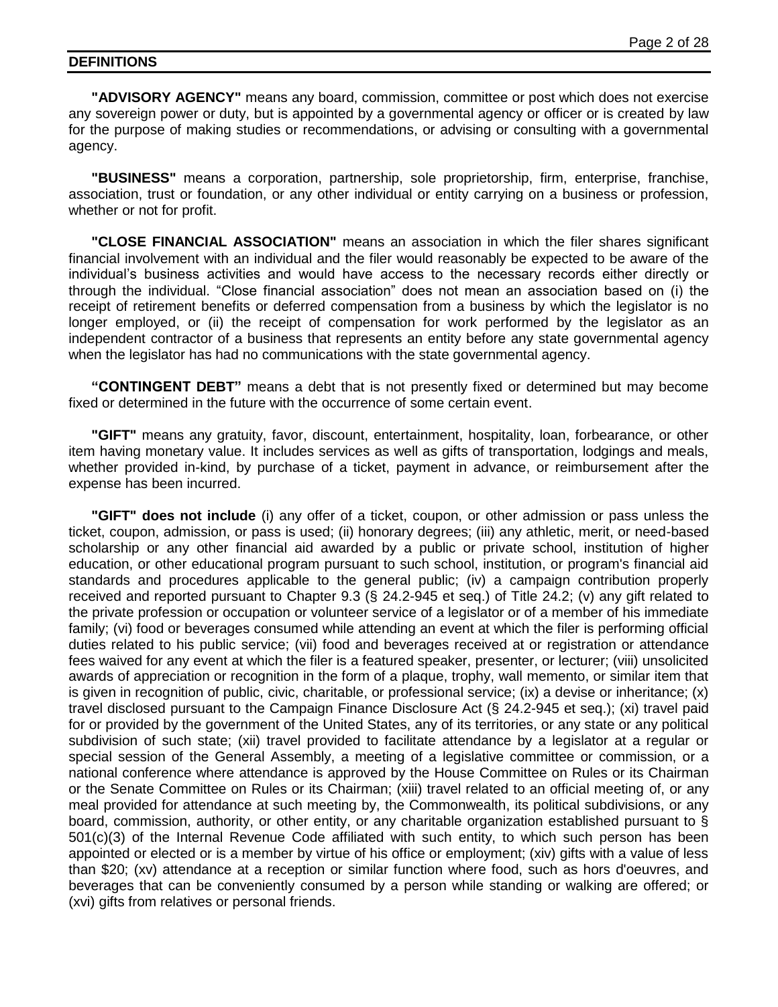#### **DEFINITIONS**

**"ADVISORY AGENCY"** means any board, commission, committee or post which does not exercise any sovereign power or duty, but is appointed by a governmental agency or officer or is created by law for the purpose of making studies or recommendations, or advising or consulting with a governmental agency.

**"BUSINESS"** means a corporation, partnership, sole proprietorship, firm, enterprise, franchise, association, trust or foundation, or any other individual or entity carrying on a business or profession, whether or not for profit.

**"CLOSE FINANCIAL ASSOCIATION"** means an association in which the filer shares significant financial involvement with an individual and the filer would reasonably be expected to be aware of the individual's business activities and would have access to the necessary records either directly or through the individual. "Close financial association" does not mean an association based on (i) the receipt of retirement benefits or deferred compensation from a business by which the legislator is no longer employed, or (ii) the receipt of compensation for work performed by the legislator as an independent contractor of a business that represents an entity before any state governmental agency when the legislator has had no communications with the state governmental agency.

**"CONTINGENT DEBT"** means a debt that is not presently fixed or determined but may become fixed or determined in the future with the occurrence of some certain event.

**"GIFT"** means any gratuity, favor, discount, entertainment, hospitality, loan, forbearance, or other item having monetary value. It includes services as well as gifts of transportation, lodgings and meals, whether provided in-kind, by purchase of a ticket, payment in advance, or reimbursement after the expense has been incurred.

**"GIFT" does not include** (i) any offer of a ticket, coupon, or other admission or pass unless the ticket, coupon, admission, or pass is used; (ii) honorary degrees; (iii) any athletic, merit, or need-based scholarship or any other financial aid awarded by a public or private school, institution of higher education, or other educational program pursuant to such school, institution, or program's financial aid standards and procedures applicable to the general public; (iv) a campaign contribution properly received and reported pursuant to Chapter 9.3 (§ [24.2-945](http://law.lis.virginia.gov/vacode/24.2-945/) et seq.) of Title 24.2; (v) any gift related to the private profession or occupation or volunteer service of a legislator or of a member of his immediate family; (vi) food or beverages consumed while attending an event at which the filer is performing official duties related to his public service; (vii) food and beverages received at or registration or attendance fees waived for any event at which the filer is a featured speaker, presenter, or lecturer; (viii) unsolicited awards of appreciation or recognition in the form of a plaque, trophy, wall memento, or similar item that is given in recognition of public, civic, charitable, or professional service; (ix) a devise or inheritance; (x) travel disclosed pursuant to the Campaign Finance Disclosure Act (§ [24.2-945](http://law.lis.virginia.gov/vacode/24.2-945/) et seq.); (xi) travel paid for or provided by the government of the United States, any of its territories, or any state or any political subdivision of such state; (xii) travel provided to facilitate attendance by a legislator at a regular or special session of the General Assembly, a meeting of a legislative committee or commission, or a national conference where attendance is approved by the House Committee on Rules or its Chairman or the Senate Committee on Rules or its Chairman; (xiii) travel related to an official meeting of, or any meal provided for attendance at such meeting by, the Commonwealth, its political subdivisions, or any board, commission, authority, or other entity, or any charitable organization established pursuant to § 501(c)(3) of the Internal Revenue Code affiliated with such entity, to which such person has been appointed or elected or is a member by virtue of his office or employment; (xiv) gifts with a value of less than \$20; (xv) attendance at a reception or similar function where food, such as hors d'oeuvres, and beverages that can be conveniently consumed by a person while standing or walking are offered; or (xvi) gifts from relatives or personal friends.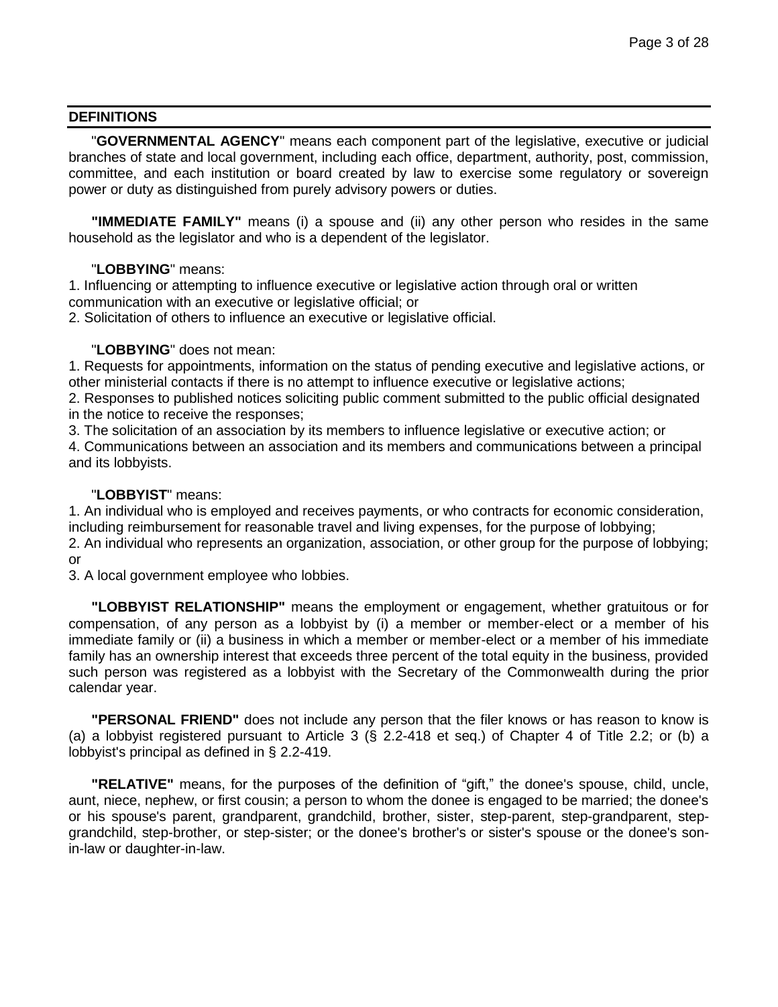#### **DEFINITIONS**

"**GOVERNMENTAL AGENCY**" means each component part of the legislative, executive or judicial branches of state and local government, including each office, department, authority, post, commission, committee, and each institution or board created by law to exercise some regulatory or sovereign power or duty as distinguished from purely advisory powers or duties.

**"IMMEDIATE FAMILY"** means (i) a spouse and (ii) any other person who resides in the same household as the legislator and who is a dependent of the legislator.

#### "**LOBBYING**" means:

1. Influencing or attempting to influence executive or legislative action through oral or written communication with an executive or legislative official; or

2. Solicitation of others to influence an executive or legislative official.

#### "**LOBBYING**" does not mean:

1. Requests for appointments, information on the status of pending executive and legislative actions, or other ministerial contacts if there is no attempt to influence executive or legislative actions;

2. Responses to published notices soliciting public comment submitted to the public official designated in the notice to receive the responses;

3. The solicitation of an association by its members to influence legislative or executive action; or

4. Communications between an association and its members and communications between a principal and its lobbyists.

#### "**LOBBYIST**" means:

1. An individual who is employed and receives payments, or who contracts for economic consideration, including reimbursement for reasonable travel and living expenses, for the purpose of lobbying; 2. An individual who represents an organization, association, or other group for the purpose of lobbying; or

3. A local government employee who lobbies.

**"LOBBYIST RELATIONSHIP"** means the employment or engagement, whether gratuitous or for compensation, of any person as a lobbyist by (i) a member or member-elect or a member of his immediate family or (ii) a business in which a member or member-elect or a member of his immediate family has an ownership interest that exceeds three percent of the total equity in the business, provided such person was registered as a lobbyist with the Secretary of the Commonwealth during the prior calendar year.

**"PERSONAL FRIEND"** does not include any person that the filer knows or has reason to know is (a) a lobbyist registered pursuant to Article 3 (§ [2.2-418](http://leg1.state.va.us/cgi-bin/legp504.exe?000+cod+2.2-418) et seq.) of Chapter 4 of Title 2.2; or (b) a lobbyist's principal as defined in § [2.2-419.](http://leg1.state.va.us/cgi-bin/legp504.exe?000+cod+2.2-419)

**"RELATIVE"** means, for the purposes of the definition of "gift," the donee's spouse, child, uncle, aunt, niece, nephew, or first cousin; a person to whom the donee is engaged to be married; the donee's or his spouse's parent, grandparent, grandchild, brother, sister, step-parent, step-grandparent, stepgrandchild, step-brother, or step-sister; or the donee's brother's or sister's spouse or the donee's sonin-law or daughter-in-law.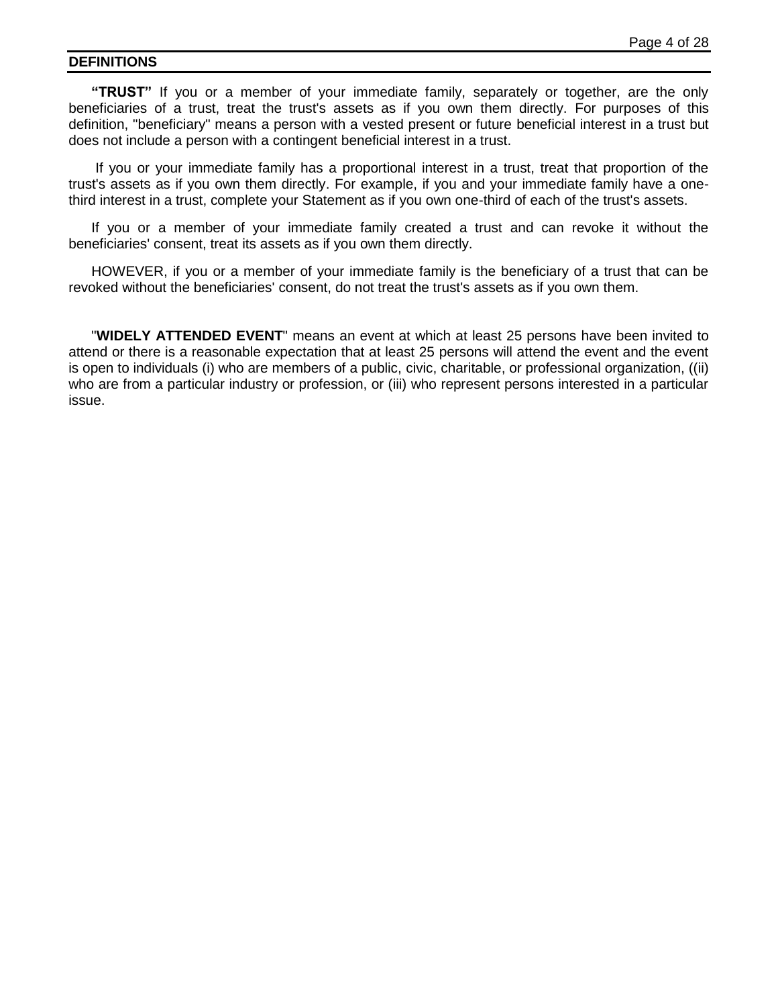#### **DEFINITIONS**

**"TRUST"** If you or a member of your immediate family, separately or together, are the only beneficiaries of a trust, treat the trust's assets as if you own them directly. For purposes of this definition, "beneficiary" means a person with a vested present or future beneficial interest in a trust but does not include a person with a contingent beneficial interest in a trust.

If you or your immediate family has a proportional interest in a trust, treat that proportion of the trust's assets as if you own them directly. For example, if you and your immediate family have a onethird interest in a trust, complete your Statement as if you own one-third of each of the trust's assets.

If you or a member of your immediate family created a trust and can revoke it without the beneficiaries' consent, treat its assets as if you own them directly.

HOWEVER, if you or a member of your immediate family is the beneficiary of a trust that can be revoked without the beneficiaries' consent, do not treat the trust's assets as if you own them.

"**WIDELY ATTENDED EVENT**" means an event at which at least 25 persons have been invited to attend or there is a reasonable expectation that at least 25 persons will attend the event and the event is open to individuals (i) who are members of a public, civic, charitable, or professional organization, ((ii) who are from a particular industry or profession, or (iii) who represent persons interested in a particular issue.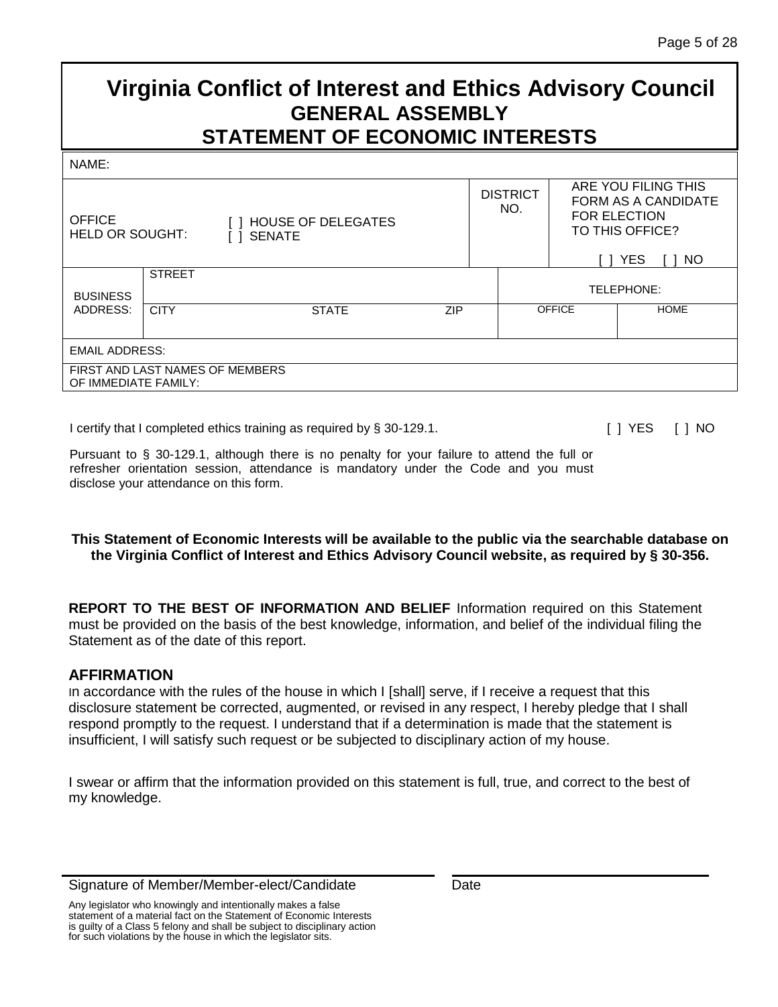# **Virginia Conflict of Interest and Ethics Advisory Council GENERAL ASSEMBLY STATEMENT OF ECONOMIC INTERESTS**

NAME:

| <b>OFFICE</b><br><b>HELD OR SOUGHT:</b>                 |               | <b>HOUSE OF DELEGATES</b><br><b>SENATE</b> |            |  | <b>DISTRICT</b><br>NO. | ARE YOU FILING THIS<br><b>FORM AS A CANDIDATE</b><br><b>FOR ELECTION</b><br>TO THIS OFFICE?<br><b>YES</b> |  | NO.         |
|---------------------------------------------------------|---------------|--------------------------------------------|------------|--|------------------------|-----------------------------------------------------------------------------------------------------------|--|-------------|
|                                                         | <b>STREET</b> |                                            |            |  |                        |                                                                                                           |  |             |
| <b>BUSINESS</b>                                         |               |                                            |            |  | TELEPHONE:             |                                                                                                           |  |             |
| ADDRESS:                                                | <b>CITY</b>   | <b>STATE</b>                               | <b>ZIP</b> |  |                        | <b>OFFICE</b>                                                                                             |  | <b>HOME</b> |
|                                                         |               |                                            |            |  |                        |                                                                                                           |  |             |
| <b>EMAIL ADDRESS:</b>                                   |               |                                            |            |  |                        |                                                                                                           |  |             |
| FIRST AND LAST NAMES OF MEMBERS<br>OF IMMEDIATE FAMILY: |               |                                            |            |  |                        |                                                                                                           |  |             |
|                                                         |               |                                            |            |  |                        |                                                                                                           |  |             |

I certify that I completed ethics training as required by § 30-129.1. [ ] YES [ ] NO

Pursuant to § 30-129.1, although there is no penalty for your failure to attend the full or refresher orientation session, attendance is mandatory under the Code and you must disclose your attendance on this form.

#### **This Statement of Economic Interests will be available to the public via the searchable database on the Virginia Conflict of Interest and Ethics Advisory Council website, as required by § 30-356.**

**REPORT TO THE BEST OF INFORMATION AND BELIEF** Information required on this Statement must be provided on the basis of the best knowledge, information, and belief of the individual filing the Statement as of the date of this report.

#### **AFFIRMATION**

In accordance with the rules of the house in which I [shall] serve, if I receive a request that this disclosure statement be corrected, augmented, or revised in any respect, I hereby pledge that I shall respond promptly to the request. I understand that if a determination is made that the statement is insufficient, I will satisfy such request or be subjected to disciplinary action of my house.

I swear or affirm that the information provided on this statement is full, true, and correct to the best of my knowledge.

Signature of Member/Member-elect/Candidate

Date

Any legislator who knowingly and intentionally makes a false statement of a material fact on the Statement of Economic Interests is guilty of a Class 5 felony and shall be subject to disciplinary action for such violations by the house in which the legislator sits.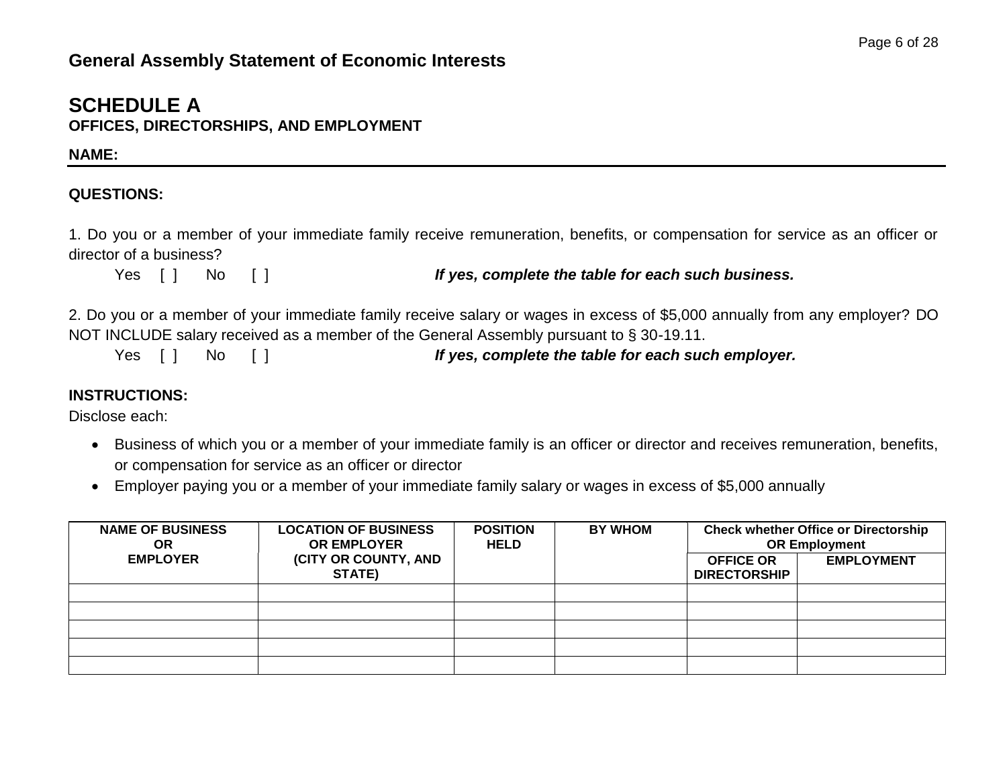## **SCHEDULE A OFFICES, DIRECTORSHIPS, AND EMPLOYMENT**

### **NAME:**

## **QUESTIONS:**

1. Do you or a member of your immediate family receive remuneration, benefits, or compensation for service as an officer or director of a business?

#### Yes [ ] No [ ] *If yes, complete the table for each such business.*

2. Do you or a member of your immediate family receive salary or wages in excess of \$5,000 annually from any employer? DO NOT INCLUDE salary received as a member of the General Assembly pursuant to § 30-19.11.

Yes [ ] No [ ] *If yes, complete the table for each such employer.*

## **INSTRUCTIONS:**

Disclose each:

- Business of which you or a member of your immediate family is an officer or director and receives remuneration, benefits, or compensation for service as an officer or director
- Employer paying you or a member of your immediate family salary or wages in excess of \$5,000 annually

| <b>NAME OF BUSINESS</b><br><b>OR</b> | <b>LOCATION OF BUSINESS</b><br><b>OR EMPLOYER</b> | <b>POSITION</b><br><b>HELD</b> | <b>BY WHOM</b> |                                         | <b>Check whether Office or Directorship</b><br><b>OR Employment</b> |
|--------------------------------------|---------------------------------------------------|--------------------------------|----------------|-----------------------------------------|---------------------------------------------------------------------|
| <b>EMPLOYER</b>                      | (CITY OR COUNTY, AND<br>STATE)                    |                                |                | <b>OFFICE OR</b><br><b>DIRECTORSHIP</b> | <b>EMPLOYMENT</b>                                                   |
|                                      |                                                   |                                |                |                                         |                                                                     |
|                                      |                                                   |                                |                |                                         |                                                                     |
|                                      |                                                   |                                |                |                                         |                                                                     |
|                                      |                                                   |                                |                |                                         |                                                                     |
|                                      |                                                   |                                |                |                                         |                                                                     |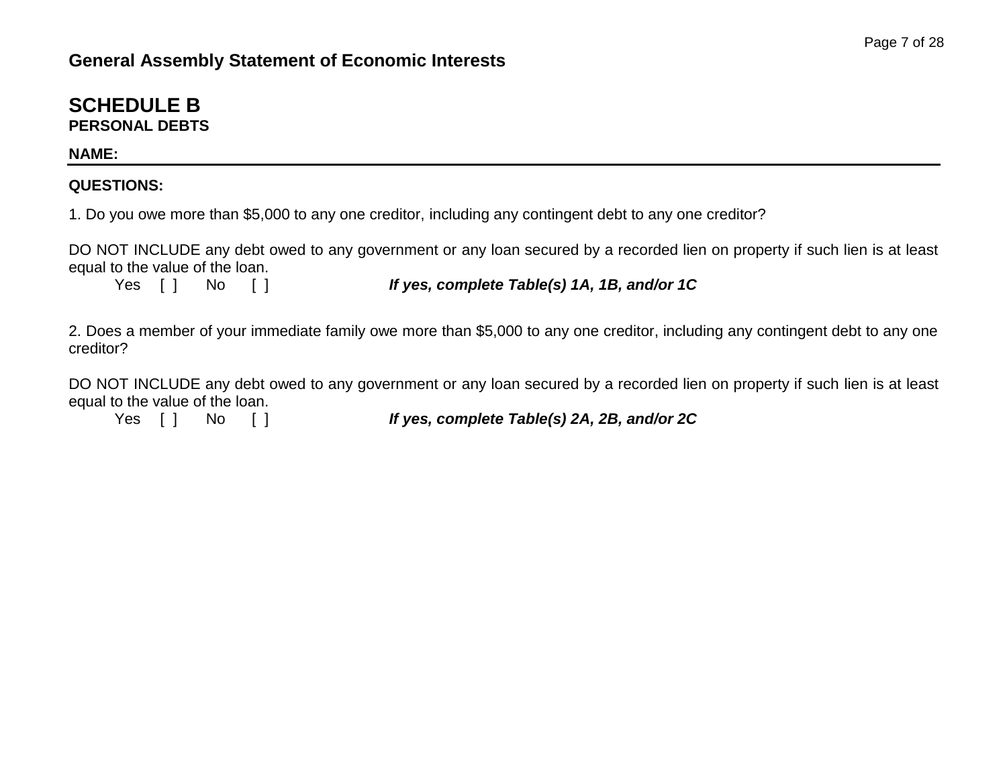### **NAME:**

### **QUESTIONS:**

1. Do you owe more than \$5,000 to any one creditor, including any contingent debt to any one creditor?

DO NOT INCLUDE any debt owed to any government or any loan secured by a recorded lien on property if such lien is at least equal to the value of the loan.

Yes [ ] No [ ] *If yes, complete Table(s) 1A, 1B, and/or 1C*

2. Does a member of your immediate family owe more than \$5,000 to any one creditor, including any contingent debt to any one creditor?

DO NOT INCLUDE any debt owed to any government or any loan secured by a recorded lien on property if such lien is at least equal to the value of the loan.

Yes [ ] No [ ] *If yes, complete Table(s) 2A, 2B, and/or 2C*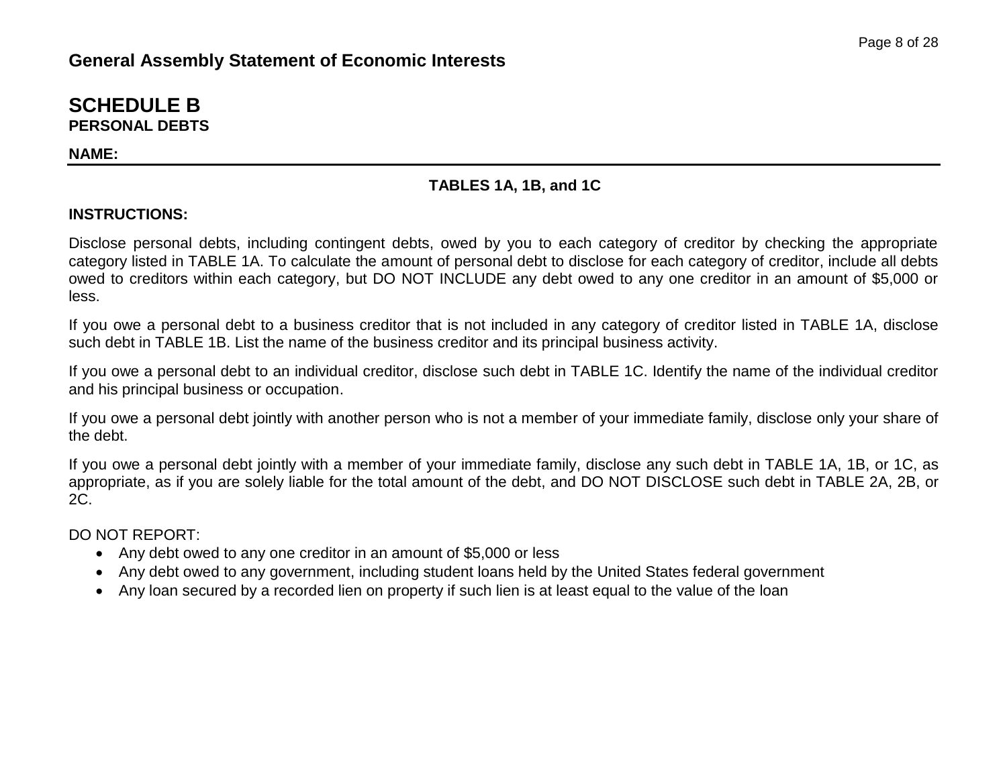#### **NAME:**

## **TABLES 1A, 1B, and 1C**

### **INSTRUCTIONS:**

Disclose personal debts, including contingent debts, owed by you to each category of creditor by checking the appropriate category listed in TABLE 1A. To calculate the amount of personal debt to disclose for each category of creditor, include all debts owed to creditors within each category, but DO NOT INCLUDE any debt owed to any one creditor in an amount of \$5,000 or less.

If you owe a personal debt to a business creditor that is not included in any category of creditor listed in TABLE 1A, disclose such debt in TABLE 1B. List the name of the business creditor and its principal business activity.

If you owe a personal debt to an individual creditor, disclose such debt in TABLE 1C. Identify the name of the individual creditor and his principal business or occupation.

If you owe a personal debt jointly with another person who is not a member of your immediate family, disclose only your share of the debt.

If you owe a personal debt jointly with a member of your immediate family, disclose any such debt in TABLE 1A, 1B, or 1C, as appropriate, as if you are solely liable for the total amount of the debt, and DO NOT DISCLOSE such debt in TABLE 2A, 2B, or 2C.

### DO NOT REPORT:

- Any debt owed to any one creditor in an amount of \$5,000 or less
- Any debt owed to any government, including student loans held by the United States federal government
- Any loan secured by a recorded lien on property if such lien is at least equal to the value of the loan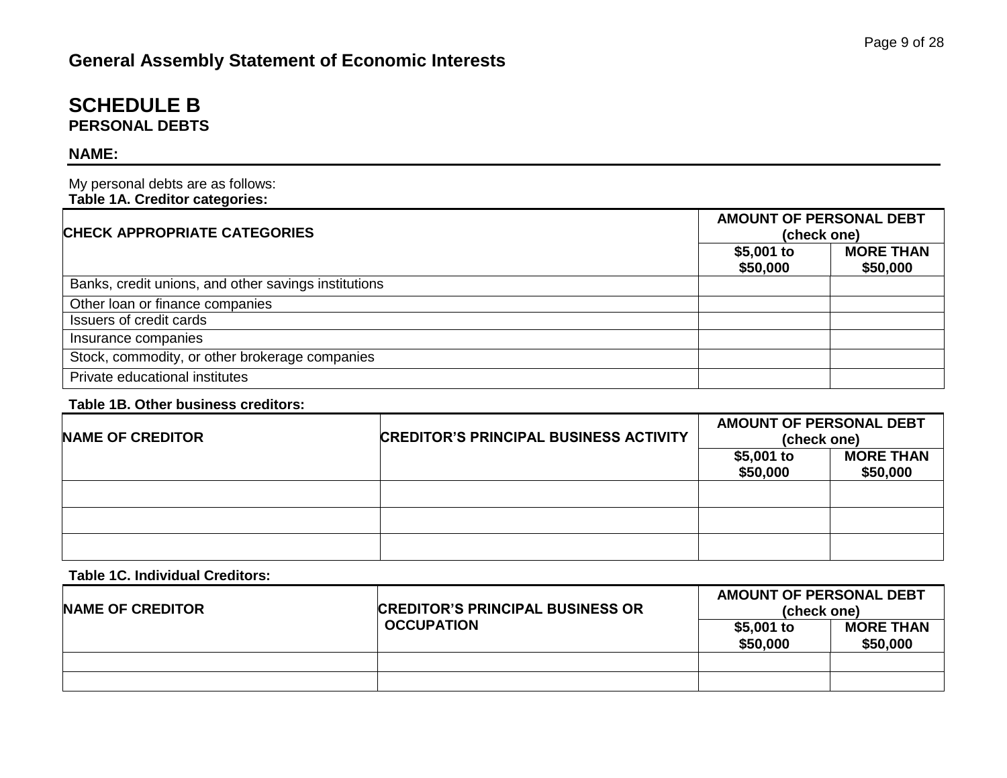#### **NAME:**

My personal debts are as follows: **Table 1A. Creditor categories:**

| <b>CHECK APPROPRIATE CATEGORIES</b>                  | <b>AMOUNT OF PERSONAL DEBT</b><br>(check one) |                              |  |
|------------------------------------------------------|-----------------------------------------------|------------------------------|--|
|                                                      | $$5,001$ to<br>\$50,000                       | <b>MORE THAN</b><br>\$50,000 |  |
| Banks, credit unions, and other savings institutions |                                               |                              |  |
| Other loan or finance companies                      |                                               |                              |  |
| Issuers of credit cards                              |                                               |                              |  |
| Insurance companies                                  |                                               |                              |  |
| Stock, commodity, or other brokerage companies       |                                               |                              |  |
| Private educational institutes                       |                                               |                              |  |

#### **Table 1B. Other business creditors:**

| <b>NAME OF CREDITOR</b> | <b>CREDITOR'S PRINCIPAL BUSINESS ACTIVITY</b> | <b>AMOUNT OF PERSONAL DEBT</b><br>(check one) |                              |  |
|-------------------------|-----------------------------------------------|-----------------------------------------------|------------------------------|--|
|                         |                                               | $$5,001$ to<br>\$50,000                       | <b>MORE THAN</b><br>\$50,000 |  |
|                         |                                               |                                               |                              |  |
|                         |                                               |                                               |                              |  |
|                         |                                               |                                               |                              |  |

#### **Table 1C. Individual Creditors:**

| NAME OF CREDITOR | <b>CREDITOR'S PRINCIPAL BUSINESS OR</b><br><b>OCCUPATION</b> | <b>AMOUNT OF PERSONAL DEBT</b><br>(check one) |                              |  |
|------------------|--------------------------------------------------------------|-----------------------------------------------|------------------------------|--|
|                  |                                                              | $$5,001$ to<br>\$50,000                       | <b>MORE THAN</b><br>\$50,000 |  |
|                  |                                                              |                                               |                              |  |
|                  |                                                              |                                               |                              |  |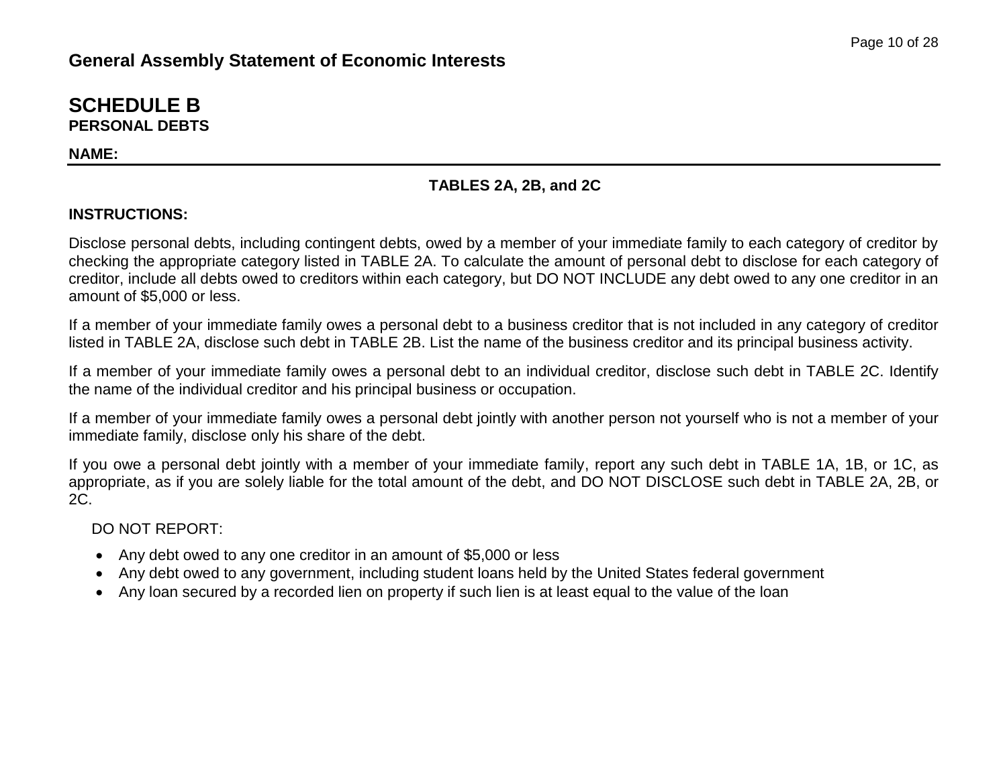#### **NAME:**

### **TABLES 2A, 2B, and 2C**

### **INSTRUCTIONS:**

Disclose personal debts, including contingent debts, owed by a member of your immediate family to each category of creditor by checking the appropriate category listed in TABLE 2A. To calculate the amount of personal debt to disclose for each category of creditor, include all debts owed to creditors within each category, but DO NOT INCLUDE any debt owed to any one creditor in an amount of \$5,000 or less.

If a member of your immediate family owes a personal debt to a business creditor that is not included in any category of creditor listed in TABLE 2A, disclose such debt in TABLE 2B. List the name of the business creditor and its principal business activity.

If a member of your immediate family owes a personal debt to an individual creditor, disclose such debt in TABLE 2C. Identify the name of the individual creditor and his principal business or occupation.

If a member of your immediate family owes a personal debt jointly with another person not yourself who is not a member of your immediate family, disclose only his share of the debt.

If you owe a personal debt jointly with a member of your immediate family, report any such debt in TABLE 1A, 1B, or 1C, as appropriate, as if you are solely liable for the total amount of the debt, and DO NOT DISCLOSE such debt in TABLE 2A, 2B, or 2C.

## DO NOT REPORT:

- Any debt owed to any one creditor in an amount of \$5,000 or less
- Any debt owed to any government, including student loans held by the United States federal government
- Any loan secured by a recorded lien on property if such lien is at least equal to the value of the loan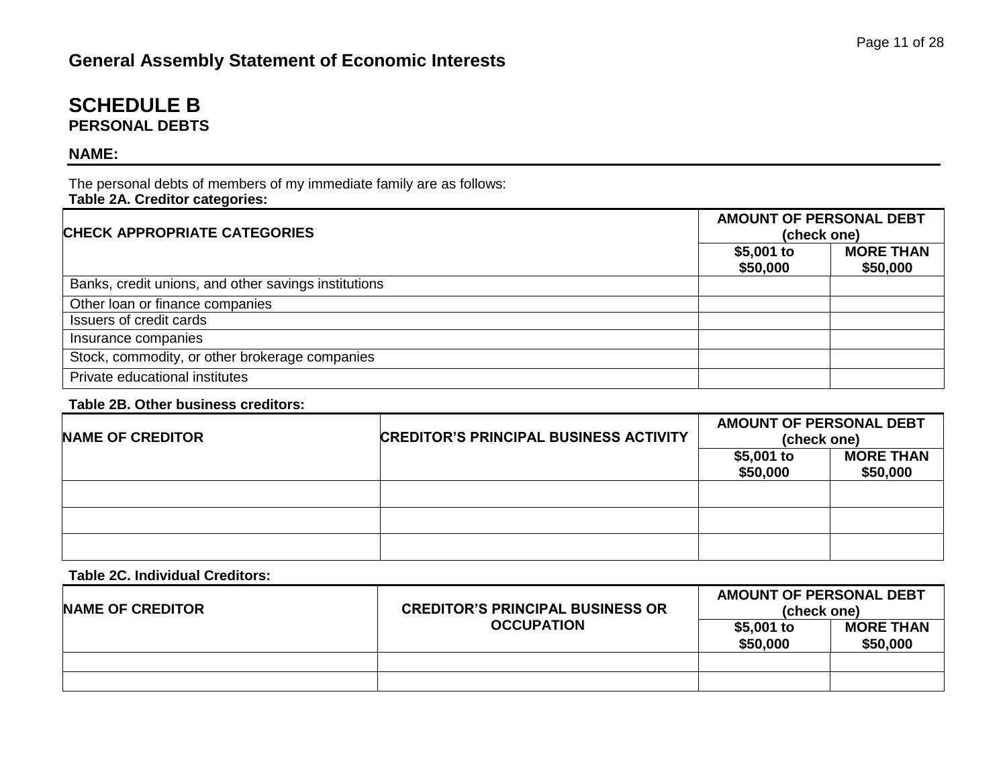#### **NAME:**

The personal debts of members of my immediate family are as follows: **Table 2A. Creditor categories:**

| <b>CHECK APPROPRIATE CATEGORIES</b>                  | AMOUNT OF PERSONAL DEBT<br>(check one) |                              |  |  |
|------------------------------------------------------|----------------------------------------|------------------------------|--|--|
|                                                      | $$5,001$ to<br>\$50,000                | <b>MORE THAN</b><br>\$50,000 |  |  |
| Banks, credit unions, and other savings institutions |                                        |                              |  |  |
| Other loan or finance companies                      |                                        |                              |  |  |
| Issuers of credit cards                              |                                        |                              |  |  |
| Insurance companies                                  |                                        |                              |  |  |
| Stock, commodity, or other brokerage companies       |                                        |                              |  |  |
| Private educational institutes                       |                                        |                              |  |  |

#### **Table 2B. Other business creditors:**

| <b>NAME OF CREDITOR</b> | <b>CREDITOR'S PRINCIPAL BUSINESS ACTIVITY</b> | AMOUNT OF PERSONAL DEBT<br>(check one) |                              |  |
|-------------------------|-----------------------------------------------|----------------------------------------|------------------------------|--|
|                         |                                               | $$5,001$ to<br>\$50,000                | <b>MORE THAN</b><br>\$50,000 |  |
|                         |                                               |                                        |                              |  |
|                         |                                               |                                        |                              |  |
|                         |                                               |                                        |                              |  |

#### **Table 2C. Individual Creditors:**

| NAME OF CREDITOR | <b>CREDITOR'S PRINCIPAL BUSINESS OR</b> | <b>AMOUNT OF PERSONAL DEBT</b><br>(check one) |                              |  |
|------------------|-----------------------------------------|-----------------------------------------------|------------------------------|--|
|                  | <b>OCCUPATION</b>                       | \$5,001 to<br>\$50,000                        | <b>MORE THAN</b><br>\$50,000 |  |
|                  |                                         |                                               |                              |  |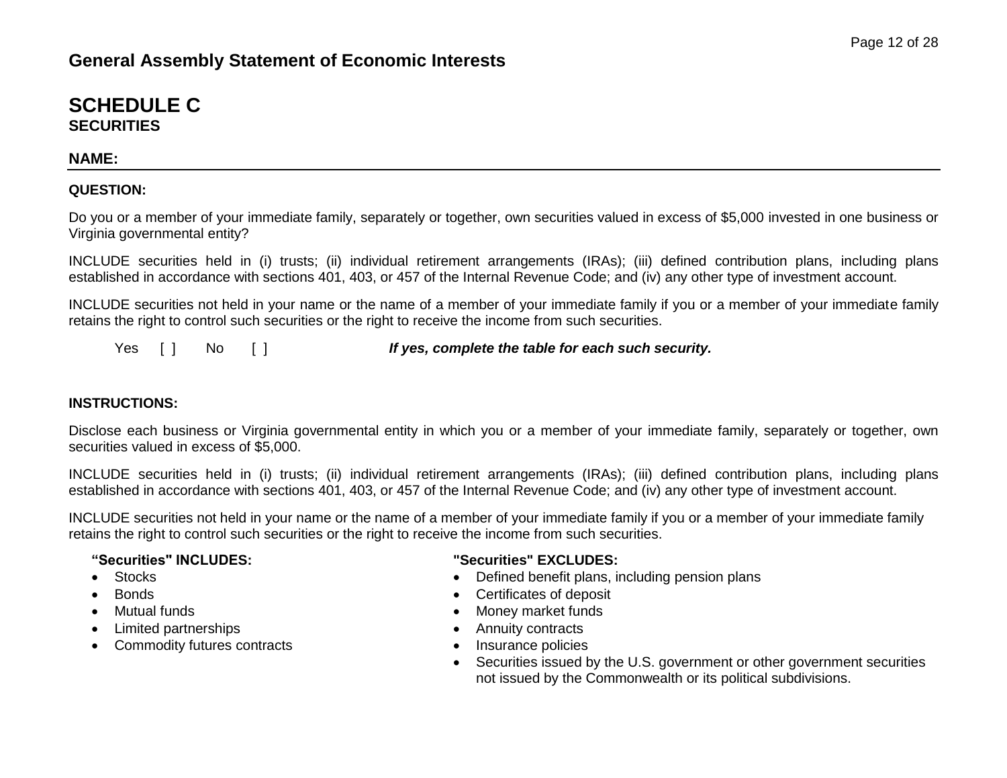## **SCHEDULE C SECURITIES**

### **NAME:**

### **QUESTION:**

Do you or a member of your immediate family, separately or together, own securities valued in excess of \$5,000 invested in one business or Virginia governmental entity?

INCLUDE securities held in (i) trusts; (ii) individual retirement arrangements (IRAs); (iii) defined contribution plans, including plans established in accordance with sections 401, 403, or 457 of the Internal Revenue Code; and (iv) any other type of investment account.

INCLUDE securities not held in your name or the name of a member of your immediate family if you or a member of your immediate family retains the right to control such securities or the right to receive the income from such securities.

Yes [ ] No [ ] *If yes, complete the table for each such security.* 

#### **INSTRUCTIONS:**

Disclose each business or Virginia governmental entity in which you or a member of your immediate family, separately or together, own securities valued in excess of \$5,000.

INCLUDE securities held in (i) trusts; (ii) individual retirement arrangements (IRAs); (iii) defined contribution plans, including plans established in accordance with sections 401, 403, or 457 of the Internal Revenue Code; and (iv) any other type of investment account.

INCLUDE securities not held in your name or the name of a member of your immediate family if you or a member of your immediate family retains the right to control such securities or the right to receive the income from such securities.

#### **"Securities" INCLUDES:**

- Stocks
- **Bonds**
- Mutual funds
- Limited partnerships
- Commodity futures contracts

#### **"Securities" EXCLUDES:**

- Defined benefit plans, including pension plans
- Certificates of deposit
- Money market funds
- Annuity contracts
- Insurance policies
- Securities issued by the U.S. government or other government securities not issued by the Commonwealth or its political subdivisions.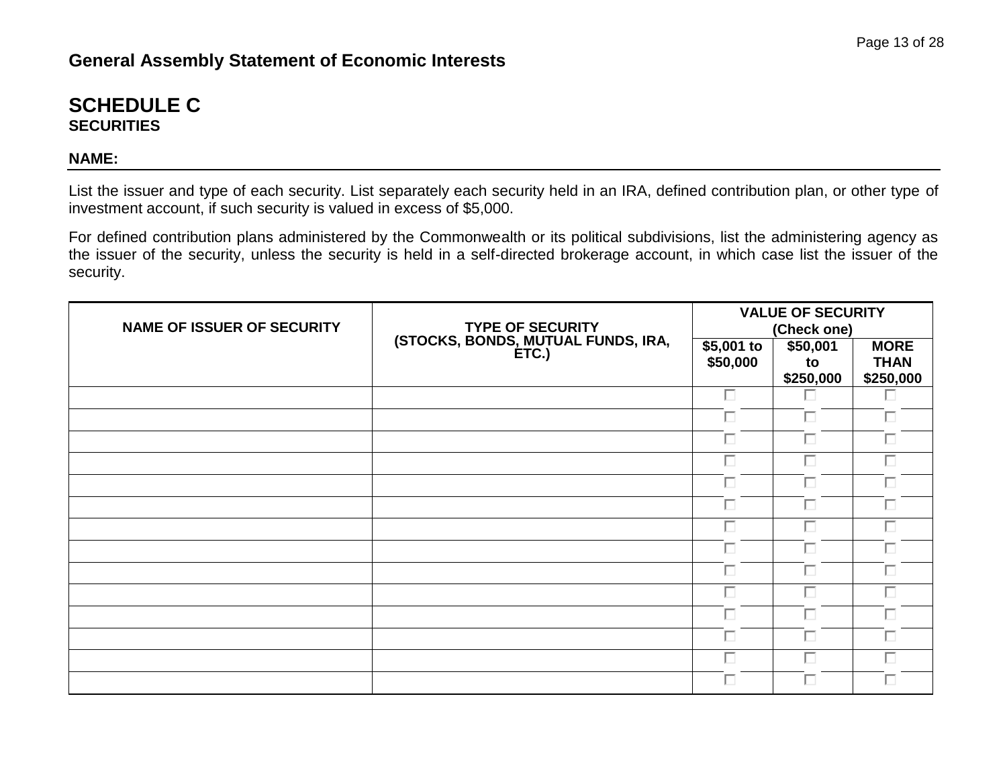## **SCHEDULE C SECURITIES**

### **NAME:**

List the issuer and type of each security. List separately each security held in an IRA, defined contribution plan, or other type of investment account, if such security is valued in excess of \$5,000.

For defined contribution plans administered by the Commonwealth or its political subdivisions, list the administering agency as the issuer of the security, unless the security is held in a self-directed brokerage account, in which case list the issuer of the security.

|                                   |                                             | <b>VALUE OF SECURITY</b> |             |             |
|-----------------------------------|---------------------------------------------|--------------------------|-------------|-------------|
| <b>NAME OF ISSUER OF SECURITY</b> | <b>TYPE OF SECURITY</b>                     |                          | (Check one) |             |
|                                   | (STOCKS, BONDS, MUTUAL FUNDS, IRA,<br>ETC.) | $$5,001$ to              | \$50,001    | <b>MORE</b> |
|                                   |                                             | \$50,000                 | to          | <b>THAN</b> |
|                                   |                                             |                          | \$250,000   | \$250,000   |
|                                   |                                             |                          | п           | П           |
|                                   |                                             | ш                        | П           | П           |
|                                   |                                             | П                        | П           | П           |
|                                   |                                             | П                        | П           | П           |
|                                   |                                             |                          | П           | п           |
|                                   |                                             | П                        | П           | П           |
|                                   |                                             | П                        | П           | П           |
|                                   |                                             | П                        | П           | П           |
|                                   |                                             |                          | г           | U           |
|                                   |                                             | H                        | г           | ш           |
|                                   |                                             | П                        | П           | П           |
|                                   |                                             |                          | П           |             |
|                                   |                                             |                          | п           |             |
|                                   |                                             |                          | г           |             |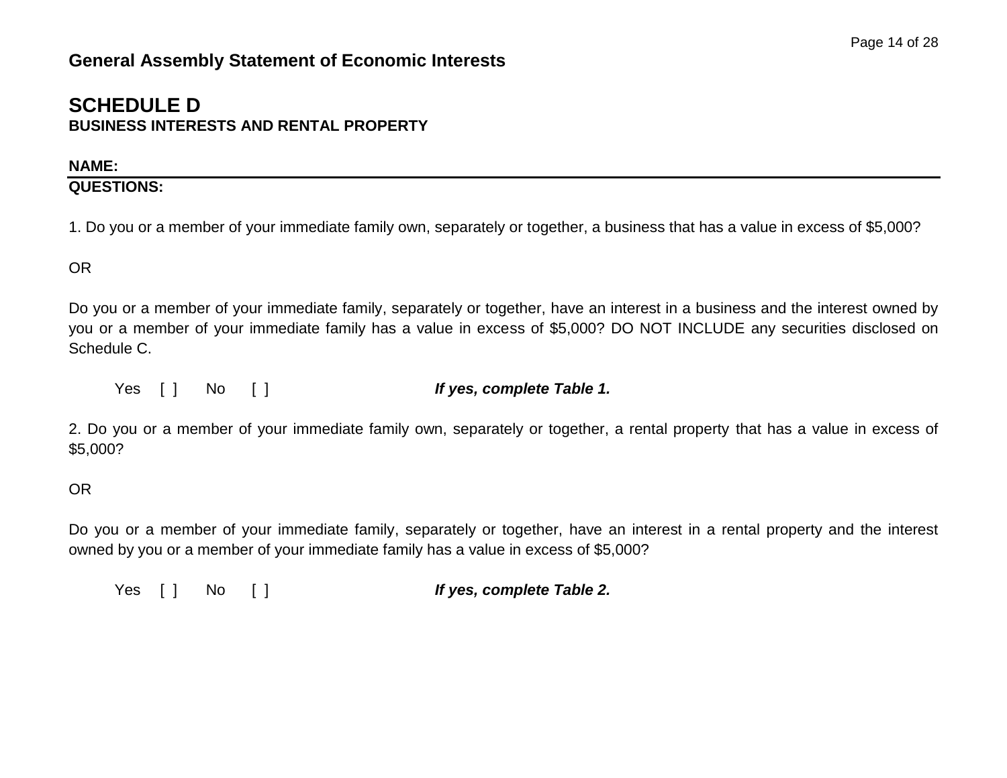## **SCHEDULE D BUSINESS INTERESTS AND RENTAL PROPERTY**

## **NAME:**

## **QUESTIONS:**

1. Do you or a member of your immediate family own, separately or together, a business that has a value in excess of \$5,000?

OR

Do you or a member of your immediate family, separately or together, have an interest in a business and the interest owned by you or a member of your immediate family has a value in excess of \$5,000? DO NOT INCLUDE any securities disclosed on Schedule C.

Yes [ ] No [ ] *If yes, complete Table 1.*

2. Do you or a member of your immediate family own, separately or together, a rental property that has a value in excess of \$5,000?

## OR

Do you or a member of your immediate family, separately or together, have an interest in a rental property and the interest owned by you or a member of your immediate family has a value in excess of \$5,000?

Yes [ ] No [ ] *If yes, complete Table 2.*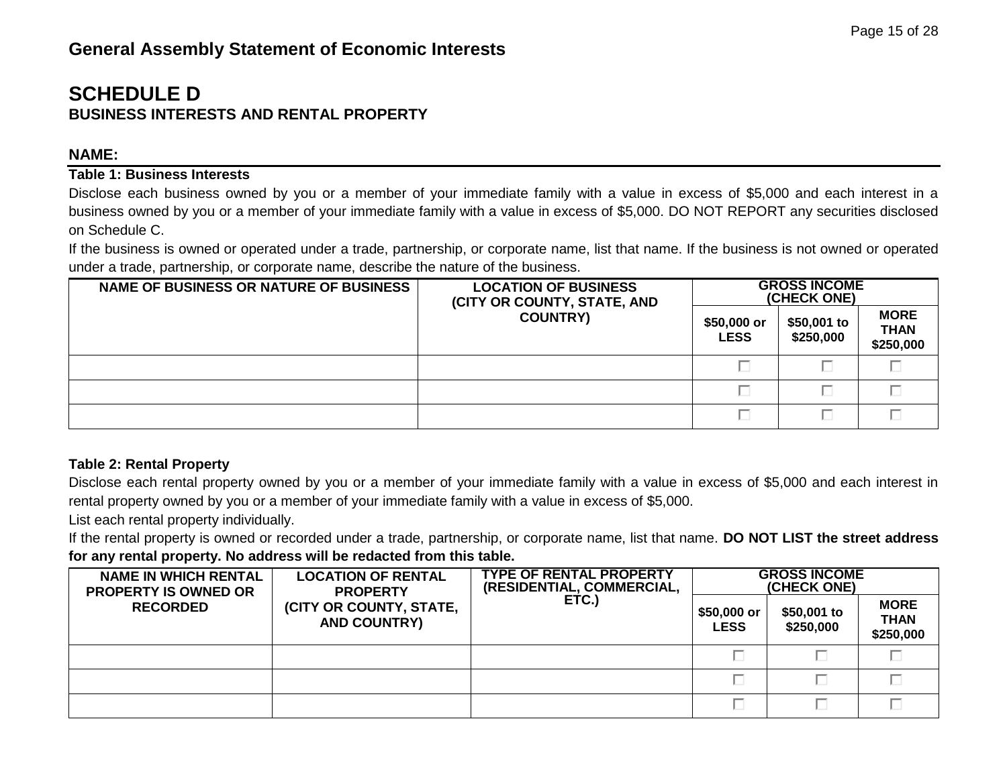## **SCHEDULE D BUSINESS INTERESTS AND RENTAL PROPERTY**

### **NAME:**

#### **Table 1: Business Interests**

Disclose each business owned by you or a member of your immediate family with a value in excess of \$5,000 and each interest in a business owned by you or a member of your immediate family with a value in excess of \$5,000. DO NOT REPORT any securities disclosed on Schedule C.

If the business is owned or operated under a trade, partnership, or corporate name, list that name. If the business is not owned or operated under a trade, partnership, or corporate name, describe the nature of the business.

| NAME OF BUSINESS OR NATURE OF BUSINESS | <b>LOCATION OF BUSINESS</b><br>(CITY OR COUNTY, STATE, AND | <b>GROSS INCOME</b><br>(CHECK ONE) |                          |                                         |  |
|----------------------------------------|------------------------------------------------------------|------------------------------------|--------------------------|-----------------------------------------|--|
|                                        | <b>COUNTRY)</b>                                            | \$50,000 or<br><b>LESS</b>         | \$50,001 to<br>\$250,000 | <b>MORE</b><br><b>THAN</b><br>\$250,000 |  |
|                                        |                                                            |                                    |                          |                                         |  |
|                                        |                                                            |                                    |                          |                                         |  |
|                                        |                                                            |                                    |                          |                                         |  |

#### **Table 2: Rental Property**

Disclose each rental property owned by you or a member of your immediate family with a value in excess of \$5,000 and each interest in rental property owned by you or a member of your immediate family with a value in excess of \$5,000.

List each rental property individually.

If the rental property is owned or recorded under a trade, partnership, or corporate name, list that name. **DO NOT LIST the street address for any rental property. No address will be redacted from this table.**

| <b>NAME IN WHICH RENTAL</b><br><b>PROPERTY IS OWNED OR</b> | <b>LOCATION OF RENTAL</b><br><b>PROPERTY</b>   | <b>TYPE OF RENTAL PROPERTY</b><br>(RESIDENTIAL, COMMERCIAL, | <b>GROSS INCOME</b><br>(CHECK ONE) |                          |                                         |
|------------------------------------------------------------|------------------------------------------------|-------------------------------------------------------------|------------------------------------|--------------------------|-----------------------------------------|
| <b>RECORDED</b>                                            | (CITY OR COUNTY, STATE,<br><b>AND COUNTRY)</b> | ETC.)                                                       | \$50.000 or<br><b>LESS</b>         | \$50,001 to<br>\$250,000 | <b>MORE</b><br><b>THAN</b><br>\$250,000 |
|                                                            |                                                |                                                             |                                    |                          |                                         |
|                                                            |                                                |                                                             |                                    |                          |                                         |
|                                                            |                                                |                                                             |                                    |                          |                                         |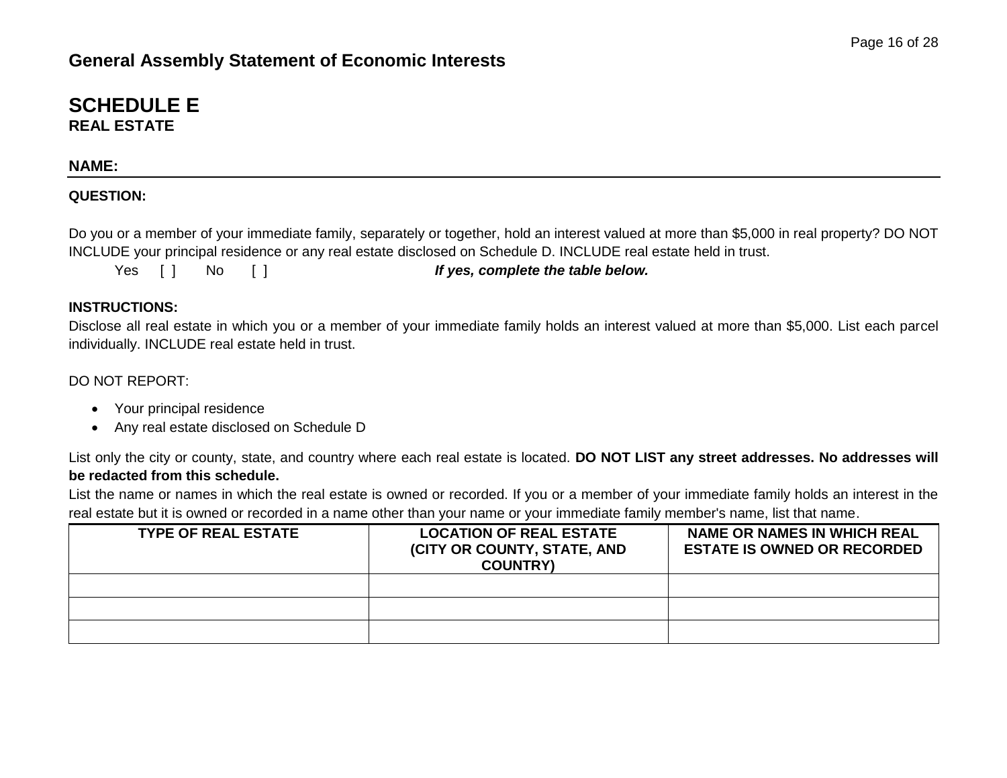## **SCHEDULE E REAL ESTATE**

### **NAME:**

#### **QUESTION:**

Do you or a member of your immediate family, separately or together, hold an interest valued at more than \$5,000 in real property? DO NOT INCLUDE your principal residence or any real estate disclosed on Schedule D. INCLUDE real estate held in trust.

Yes [ ] No [ ] *If yes, complete the table below.*

#### **INSTRUCTIONS:**

Disclose all real estate in which you or a member of your immediate family holds an interest valued at more than \$5,000. List each parcel individually. INCLUDE real estate held in trust.

#### DO NOT REPORT:

- Your principal residence
- Any real estate disclosed on Schedule D

List only the city or county, state, and country where each real estate is located. **DO NOT LIST any street addresses. No addresses will be redacted from this schedule.**

List the name or names in which the real estate is owned or recorded. If you or a member of your immediate family holds an interest in the real estate but it is owned or recorded in a name other than your name or your immediate family member's name, list that name.

| <b>TYPE OF REAL ESTATE</b> | <b>LOCATION OF REAL ESTATE</b><br>(CITY OR COUNTY, STATE, AND<br><b>COUNTRY)</b> | <b>NAME OR NAMES IN WHICH REAL</b><br><b>ESTATE IS OWNED OR RECORDED</b> |
|----------------------------|----------------------------------------------------------------------------------|--------------------------------------------------------------------------|
|                            |                                                                                  |                                                                          |
|                            |                                                                                  |                                                                          |
|                            |                                                                                  |                                                                          |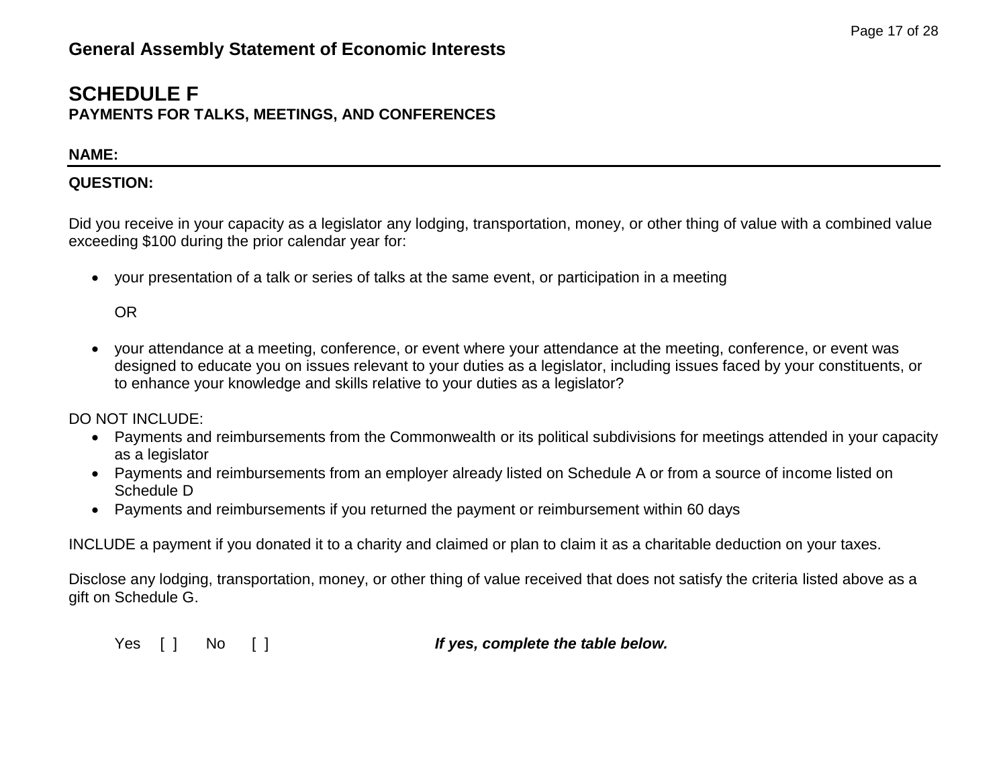## **SCHEDULE F PAYMENTS FOR TALKS, MEETINGS, AND CONFERENCES**

### **NAME:**

### **QUESTION:**

Did you receive in your capacity as a legislator any lodging, transportation, money, or other thing of value with a combined value exceeding \$100 during the prior calendar year for:

your presentation of a talk or series of talks at the same event, or participation in a meeting

OR

 your attendance at a meeting, conference, or event where your attendance at the meeting, conference, or event was designed to educate you on issues relevant to your duties as a legislator, including issues faced by your constituents, or to enhance your knowledge and skills relative to your duties as a legislator?

DO NOT INCLUDE:

- Payments and reimbursements from the Commonwealth or its political subdivisions for meetings attended in your capacity as a legislator
- Payments and reimbursements from an employer already listed on Schedule A or from a source of income listed on Schedule D
- Payments and reimbursements if you returned the payment or reimbursement within 60 days

INCLUDE a payment if you donated it to a charity and claimed or plan to claim it as a charitable deduction on your taxes.

Disclose any lodging, transportation, money, or other thing of value received that does not satisfy the criteria listed above as a gift on Schedule G.

Yes [ ] No [ ] *If yes, complete the table below.*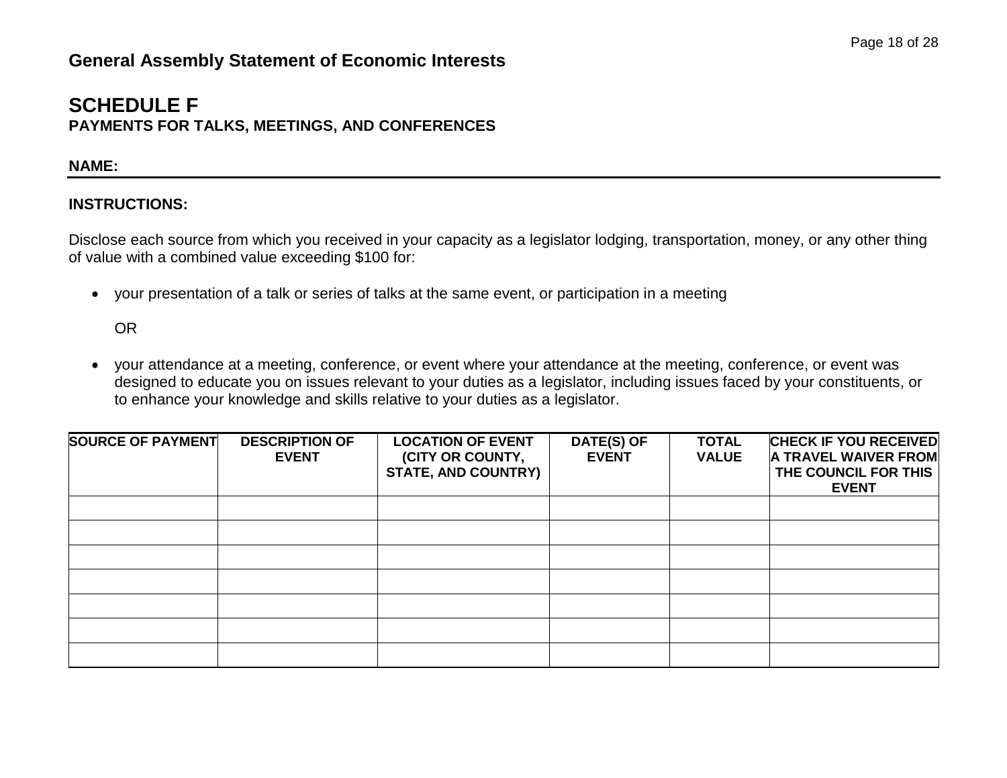## **SCHEDULE F PAYMENTS FOR TALKS, MEETINGS, AND CONFERENCES**

### **NAME:**

### **INSTRUCTIONS:**

Disclose each source from which you received in your capacity as a legislator lodging, transportation, money, or any other thing of value with a combined value exceeding \$100 for:

your presentation of a talk or series of talks at the same event, or participation in a meeting

### OR

 your attendance at a meeting, conference, or event where your attendance at the meeting, conference, or event was designed to educate you on issues relevant to your duties as a legislator, including issues faced by your constituents, or to enhance your knowledge and skills relative to your duties as a legislator.

| <b>SOURCE OF PAYMENT</b> | <b>DESCRIPTION OF</b><br><b>EVENT</b> | <b>LOCATION OF EVENT</b><br>(CITY OR COUNTY,<br><b>STATE, AND COUNTRY)</b> | DATE(S) OF<br><b>EVENT</b> | <b>TOTAL</b><br><b>VALUE</b> | <b>CHECK IF YOU RECEIVED</b><br><b>A TRAVEL WAIVER FROM</b><br>THE COUNCIL FOR THIS<br><b>EVENT</b> |
|--------------------------|---------------------------------------|----------------------------------------------------------------------------|----------------------------|------------------------------|-----------------------------------------------------------------------------------------------------|
|                          |                                       |                                                                            |                            |                              |                                                                                                     |
|                          |                                       |                                                                            |                            |                              |                                                                                                     |
|                          |                                       |                                                                            |                            |                              |                                                                                                     |
|                          |                                       |                                                                            |                            |                              |                                                                                                     |
|                          |                                       |                                                                            |                            |                              |                                                                                                     |
|                          |                                       |                                                                            |                            |                              |                                                                                                     |
|                          |                                       |                                                                            |                            |                              |                                                                                                     |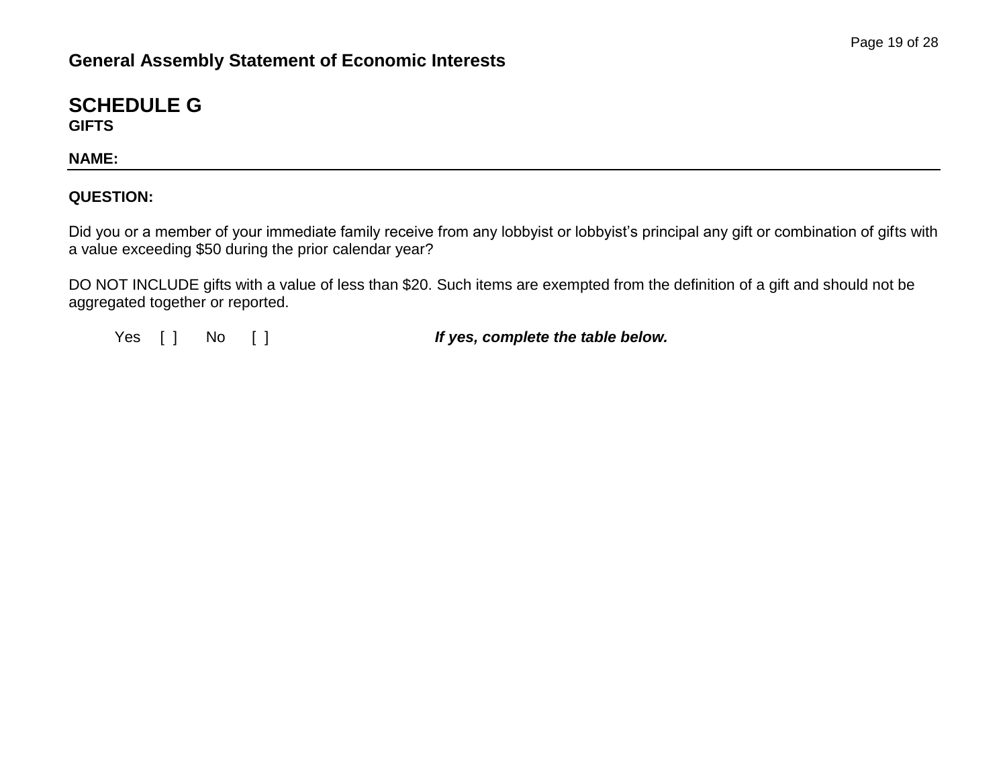## **SCHEDULE G GIFTS**

**NAME:**

## **QUESTION:**

Did you or a member of your immediate family receive from any lobbyist or lobbyist's principal any gift or combination of gifts with a value exceeding \$50 during the prior calendar year?

DO NOT INCLUDE gifts with a value of less than \$20. Such items are exempted from the definition of a gift and should not be aggregated together or reported.

Yes [ ] No [ ] *If yes, complete the table below.*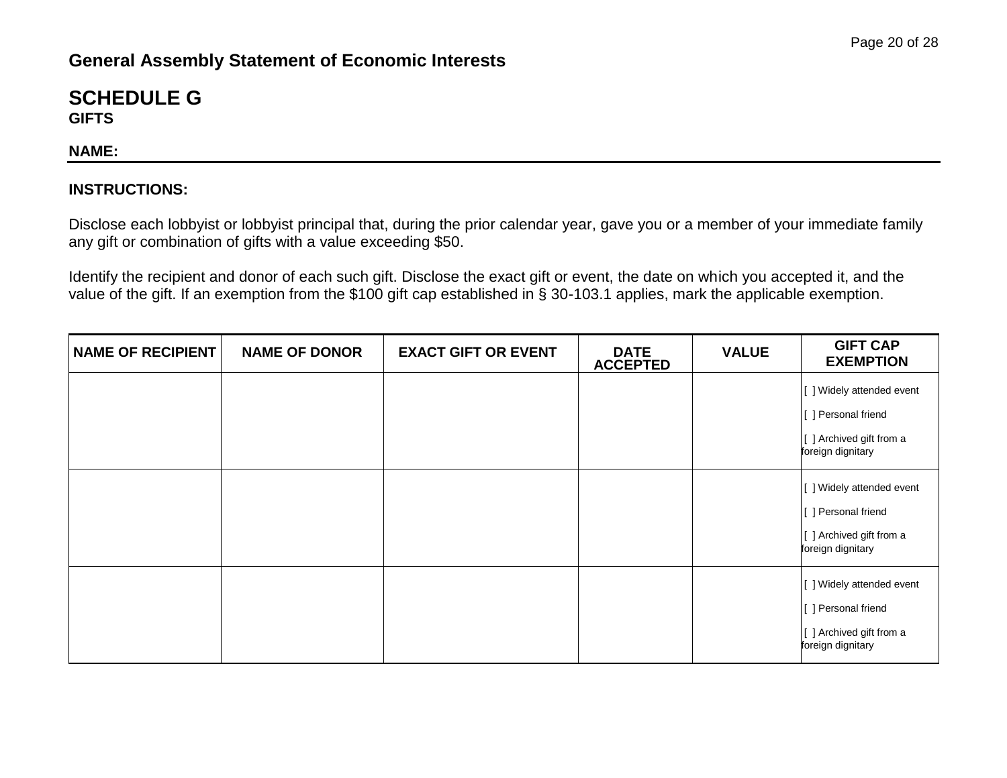## **SCHEDULE G GIFTS**

### **NAME:**

### **INSTRUCTIONS:**

Disclose each lobbyist or lobbyist principal that, during the prior calendar year, gave you or a member of your immediate family any gift or combination of gifts with a value exceeding \$50.

Identify the recipient and donor of each such gift. Disclose the exact gift or event, the date on which you accepted it, and the value of the gift. If an exemption from the \$100 gift cap established in § 30-103.1 applies, mark the applicable exemption.

| <b>NAME OF RECIPIENT</b> | <b>NAME OF DONOR</b> | <b>EXACT GIFT OR EVENT</b> | <b>DATE</b><br><b>ACCEPTED</b> | <b>VALUE</b> | <b>GIFT CAP</b><br><b>EXEMPTION</b>                                                               |
|--------------------------|----------------------|----------------------------|--------------------------------|--------------|---------------------------------------------------------------------------------------------------|
|                          |                      |                            |                                |              | [ ] Widely attended event<br>[ ] Personal friend<br>[ ] Archived gift from a<br>foreign dignitary |
|                          |                      |                            |                                |              | [ ] Widely attended event<br>[ ] Personal friend<br>[ ] Archived gift from a<br>foreign dignitary |
|                          |                      |                            |                                |              | [ ] Widely attended event<br>[ ] Personal friend<br>[ ] Archived gift from a<br>foreign dignitary |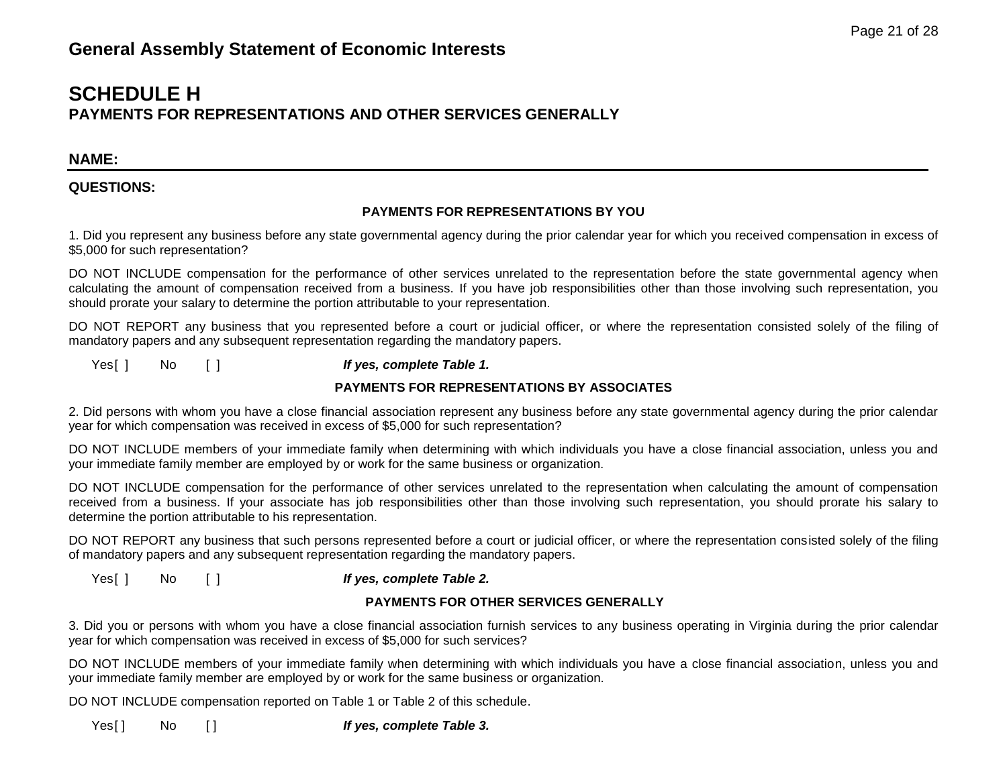## **SCHEDULE H PAYMENTS FOR REPRESENTATIONS AND OTHER SERVICES GENERALLY**

#### **NAME:**

#### **QUESTIONS:**

#### **PAYMENTS FOR REPRESENTATIONS BY YOU**

1. Did you represent any business before any state governmental agency during the prior calendar year for which you received compensation in excess of \$5,000 for such representation?

DO NOT INCLUDE compensation for the performance of other services unrelated to the representation before the state governmental agency when calculating the amount of compensation received from a business. If you have job responsibilities other than those involving such representation, you should prorate your salary to determine the portion attributable to your representation.

DO NOT REPORT any business that you represented before a court or judicial officer, or where the representation consisted solely of the filing of mandatory papers and any subsequent representation regarding the mandatory papers.

Yes[ ] No [ ] *If yes, complete Table 1.* 

#### **PAYMENTS FOR REPRESENTATIONS BY ASSOCIATES**

2. Did persons with whom you have a close financial association represent any business before any state governmental agency during the prior calendar year for which compensation was received in excess of \$5,000 for such representation?

DO NOT INCLUDE members of your immediate family when determining with which individuals you have a close financial association, unless you and your immediate family member are employed by or work for the same business or organization.

DO NOT INCLUDE compensation for the performance of other services unrelated to the representation when calculating the amount of compensation received from a business. If your associate has job responsibilities other than those involving such representation, you should prorate his salary to determine the portion attributable to his representation.

DO NOT REPORT any business that such persons represented before a court or judicial officer, or where the representation consisted solely of the filing of mandatory papers and any subsequent representation regarding the mandatory papers.

Yes[ ] No [ ] *If yes, complete Table 2.* 

#### **PAYMENTS FOR OTHER SERVICES GENERALLY**

3. Did you or persons with whom you have a close financial association furnish services to any business operating in Virginia during the prior calendar year for which compensation was received in excess of \$5,000 for such services?

DO NOT INCLUDE members of your immediate family when determining with which individuals you have a close financial association, unless you and your immediate family member are employed by or work for the same business or organization.

DO NOT INCLUDE compensation reported on Table 1 or Table 2 of this schedule.

Yes<sup>[]</sup> No [ ] *If yes, complete Table 3.*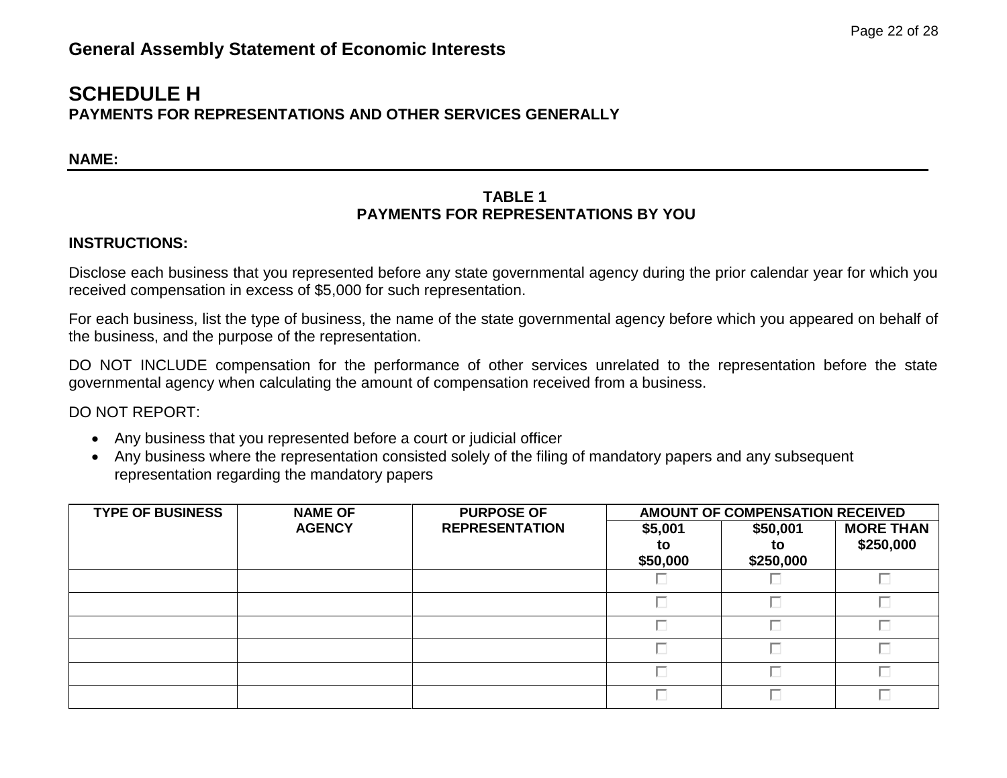## **SCHEDULE H PAYMENTS FOR REPRESENTATIONS AND OTHER SERVICES GENERALLY**

**NAME:**

### **TABLE 1 PAYMENTS FOR REPRESENTATIONS BY YOU**

### **INSTRUCTIONS:**

Disclose each business that you represented before any state governmental agency during the prior calendar year for which you received compensation in excess of \$5,000 for such representation.

For each business, list the type of business, the name of the state governmental agency before which you appeared on behalf of the business, and the purpose of the representation.

DO NOT INCLUDE compensation for the performance of other services unrelated to the representation before the state governmental agency when calculating the amount of compensation received from a business.

DO NOT REPORT:

- Any business that you represented before a court or judicial officer
- Any business where the representation consisted solely of the filing of mandatory papers and any subsequent representation regarding the mandatory papers

| <b>TYPE OF BUSINESS</b><br><b>NAME OF</b> |               | <b>PURPOSE OF</b>     |                           | AMOUNT OF COMPENSATION RECEIVED |                               |  |
|-------------------------------------------|---------------|-----------------------|---------------------------|---------------------------------|-------------------------------|--|
|                                           | <b>AGENCY</b> | <b>REPRESENTATION</b> | \$5,001<br>to<br>\$50,000 | \$50,001<br>to<br>\$250,000     | <b>MORE THAN</b><br>\$250,000 |  |
|                                           |               |                       |                           |                                 | П                             |  |
|                                           |               |                       | п                         |                                 | $\Box$                        |  |
|                                           |               |                       | П                         | г                               | $\Box$                        |  |
|                                           |               |                       | П                         | п                               | $\Box$                        |  |
|                                           |               |                       | п                         |                                 | П.                            |  |
|                                           |               |                       | п                         | г                               | $\Box$                        |  |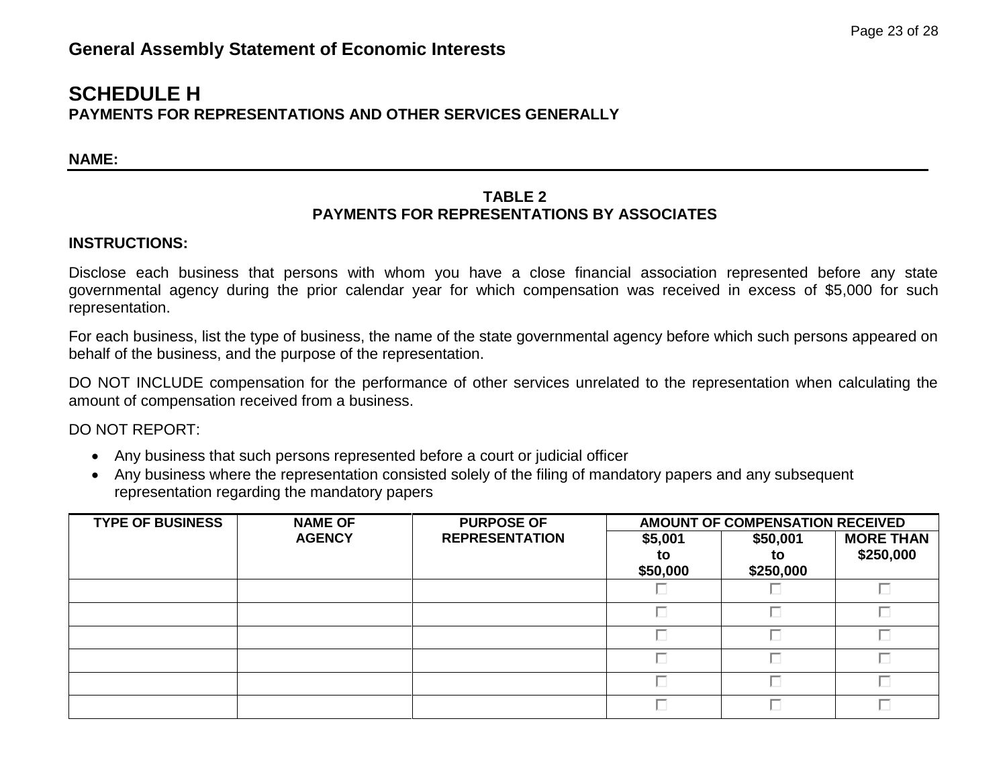## **SCHEDULE H PAYMENTS FOR REPRESENTATIONS AND OTHER SERVICES GENERALLY**

**NAME:**

### **TABLE 2 PAYMENTS FOR REPRESENTATIONS BY ASSOCIATES**

#### **INSTRUCTIONS:**

Disclose each business that persons with whom you have a close financial association represented before any state governmental agency during the prior calendar year for which compensation was received in excess of \$5,000 for such representation.

For each business, list the type of business, the name of the state governmental agency before which such persons appeared on behalf of the business, and the purpose of the representation.

DO NOT INCLUDE compensation for the performance of other services unrelated to the representation when calculating the amount of compensation received from a business.

DO NOT REPORT:

- Any business that such persons represented before a court or judicial officer
- Any business where the representation consisted solely of the filing of mandatory papers and any subsequent representation regarding the mandatory papers

| <b>TYPE OF BUSINESS</b> | <b>NAME OF</b> | <b>PURPOSE OF</b>     |          | AMOUNT OF COMPENSATION RECEIVED |                  |  |
|-------------------------|----------------|-----------------------|----------|---------------------------------|------------------|--|
|                         | <b>AGENCY</b>  | <b>REPRESENTATION</b> | \$5,001  | \$50,001                        | <b>MORE THAN</b> |  |
|                         |                |                       | tΟ       | to                              | \$250,000        |  |
|                         |                |                       | \$50,000 | \$250,000                       |                  |  |
|                         |                |                       |          |                                 | П                |  |
|                         |                |                       | г        | г                               | $\Box$           |  |
|                         |                |                       | П        | г                               | $\Box$           |  |
|                         |                |                       | п        |                                 | $\Box$           |  |
|                         |                |                       | П        | п                               | $\Box$           |  |
|                         |                |                       | п        | г                               | $\Box$           |  |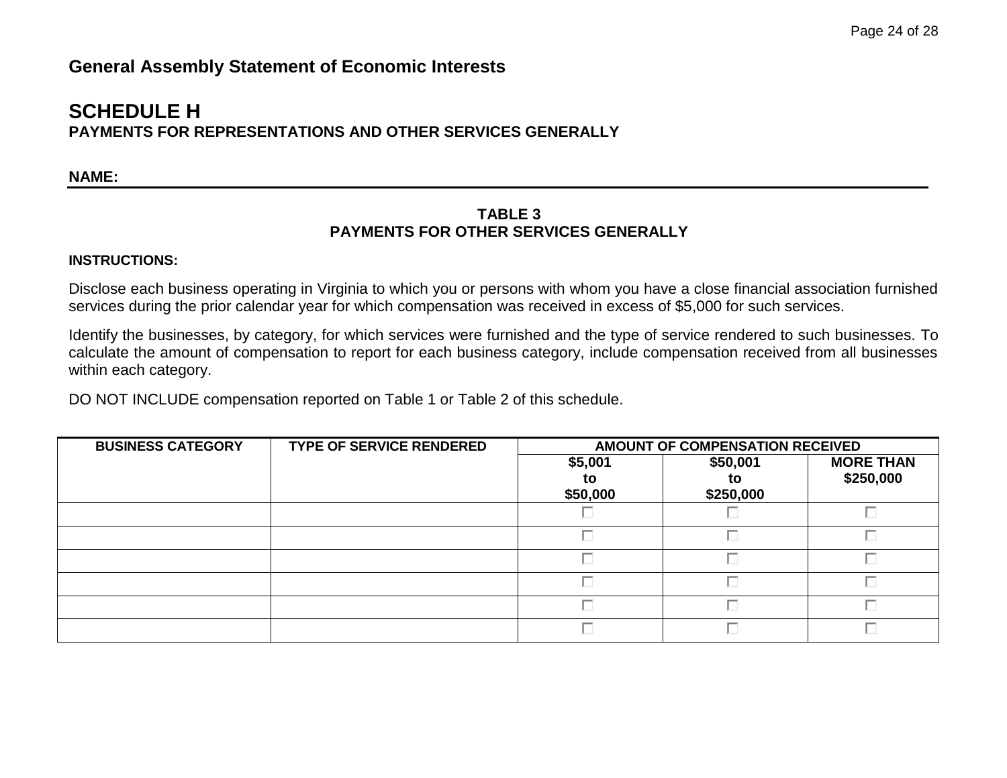## **SCHEDULE H PAYMENTS FOR REPRESENTATIONS AND OTHER SERVICES GENERALLY**

**NAME:**

### **TABLE 3 PAYMENTS FOR OTHER SERVICES GENERALLY**

#### **INSTRUCTIONS:**

Disclose each business operating in Virginia to which you or persons with whom you have a close financial association furnished services during the prior calendar year for which compensation was received in excess of \$5,000 for such services.

Identify the businesses, by category, for which services were furnished and the type of service rendered to such businesses. To calculate the amount of compensation to report for each business category, include compensation received from all businesses within each category.

DO NOT INCLUDE compensation reported on Table 1 or Table 2 of this schedule.

| <b>BUSINESS CATEGORY</b> | <b>TYPE OF SERVICE RENDERED</b> | <b>AMOUNT OF COMPENSATION RECEIVED</b> |                             |                               |
|--------------------------|---------------------------------|----------------------------------------|-----------------------------|-------------------------------|
|                          |                                 | \$5,001<br>to<br>\$50,000              | \$50,001<br>tΟ<br>\$250,000 | <b>MORE THAN</b><br>\$250,000 |
|                          |                                 |                                        |                             |                               |
|                          |                                 |                                        |                             |                               |
|                          |                                 |                                        |                             |                               |
|                          |                                 |                                        |                             |                               |
|                          |                                 |                                        |                             |                               |
|                          |                                 |                                        |                             |                               |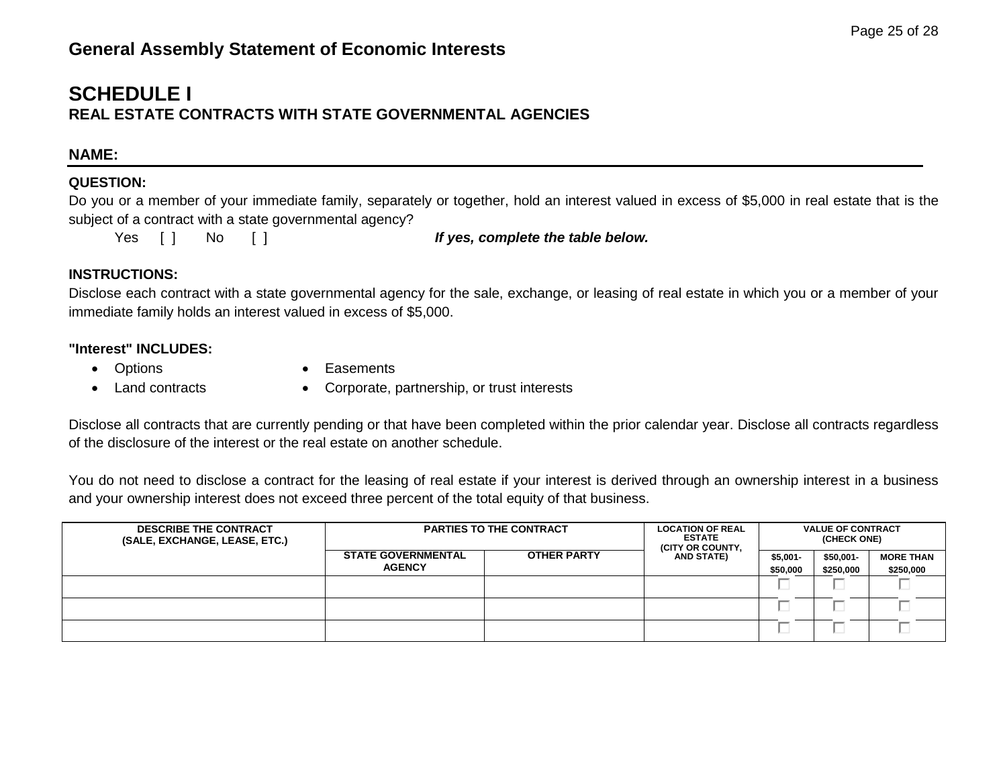## **SCHEDULE I REAL ESTATE CONTRACTS WITH STATE GOVERNMENTAL AGENCIES**

#### **NAME:**

#### **QUESTION:**

Do you or a member of your immediate family, separately or together, hold an interest valued in excess of \$5,000 in real estate that is the subject of a contract with a state governmental agency?

Yes [ ] No [ ] *If yes, complete the table below.*

#### **INSTRUCTIONS:**

Disclose each contract with a state governmental agency for the sale, exchange, or leasing of real estate in which you or a member of your immediate family holds an interest valued in excess of \$5,000.

#### **"Interest" INCLUDES:**

• Options

• Easements

• Land contracts

Corporate, partnership, or trust interests

Disclose all contracts that are currently pending or that have been completed within the prior calendar year. Disclose all contracts regardless of the disclosure of the interest or the real estate on another schedule.

You do not need to disclose a contract for the leasing of real estate if your interest is derived through an ownership interest in a business and your ownership interest does not exceed three percent of the total equity of that business.

| <b>DESCRIBE THE CONTRACT</b><br>(SALE, EXCHANGE, LEASE, ETC.) | <b>PARTIES TO THE CONTRACT</b>             |                    | <b>LOCATION OF REAL</b><br><b>ESTATE</b><br>(CITY OR COUNTY, | <b>VALUE OF CONTRACT</b><br>(CHECK ONE) |                        |                               |
|---------------------------------------------------------------|--------------------------------------------|--------------------|--------------------------------------------------------------|-----------------------------------------|------------------------|-------------------------------|
|                                                               | <b>STATE GOVERNMENTAL</b><br><b>AGENCY</b> | <b>OTHER PARTY</b> | <b>AND STATE)</b>                                            | $$5,001-$<br>\$50.000                   | \$50,001-<br>\$250,000 | <b>MORE THAN</b><br>\$250,000 |
|                                                               |                                            |                    |                                                              |                                         |                        |                               |
|                                                               |                                            |                    |                                                              |                                         |                        |                               |
|                                                               |                                            |                    |                                                              |                                         | $-$                    |                               |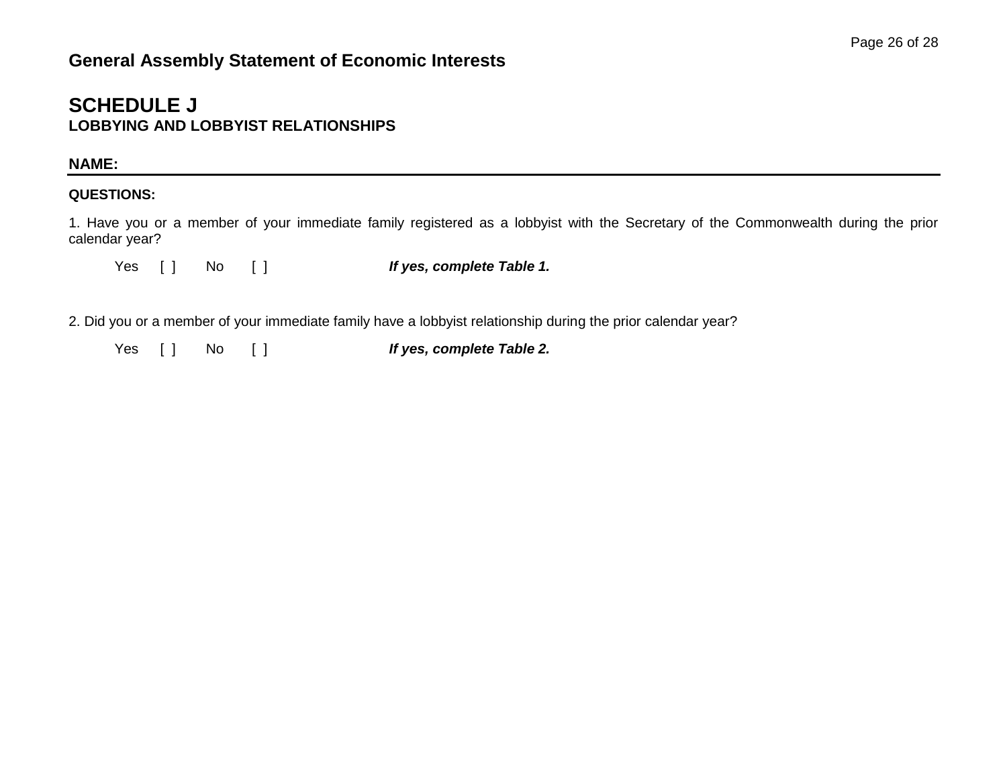## **SCHEDULE J LOBBYING AND LOBBYIST RELATIONSHIPS**

## **NAME:**

### **QUESTIONS:**

1. Have you or a member of your immediate family registered as a lobbyist with the Secretary of the Commonwealth during the prior calendar year?

Yes [ ] No [ ] *If yes, complete Table 1.* 

2. Did you or a member of your immediate family have a lobbyist relationship during the prior calendar year?

Yes [ ] No [ ] *If yes, complete Table 2.*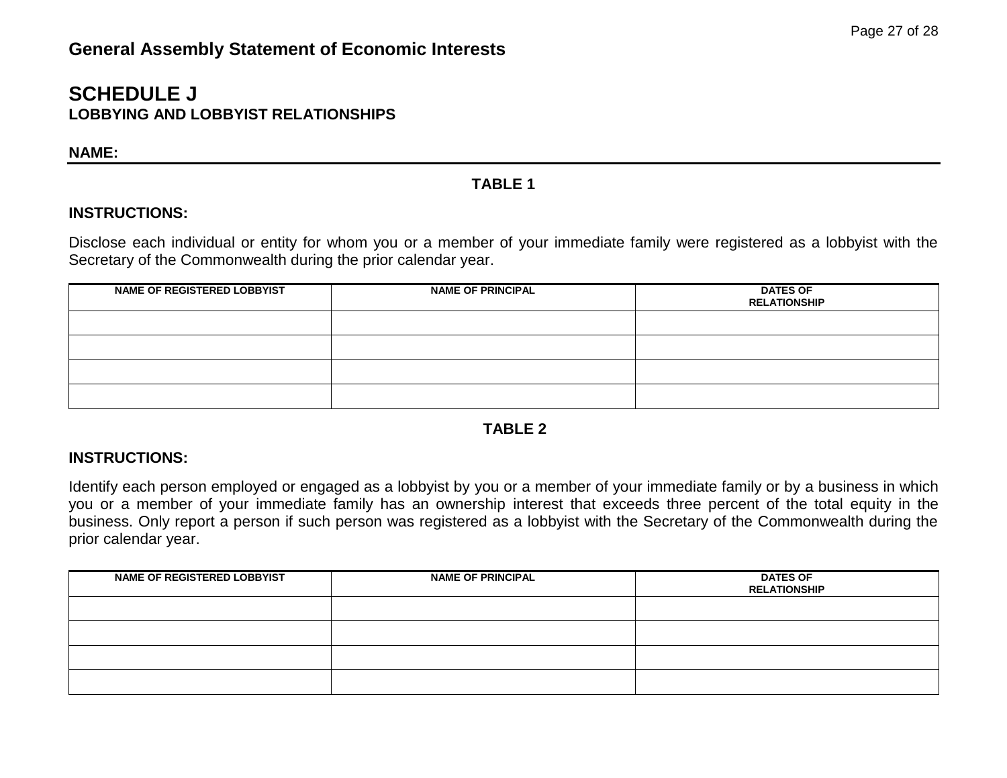## **SCHEDULE J LOBBYING AND LOBBYIST RELATIONSHIPS**

**NAME:** 

## **TABLE 1**

#### **INSTRUCTIONS:**

Disclose each individual or entity for whom you or a member of your immediate family were registered as a lobbyist with the Secretary of the Commonwealth during the prior calendar year.

| <b>NAME OF REGISTERED LOBBYIST</b> | <b>NAME OF PRINCIPAL</b> | <b>DATES OF</b><br><b>RELATIONSHIP</b> |
|------------------------------------|--------------------------|----------------------------------------|
|                                    |                          |                                        |
|                                    |                          |                                        |
|                                    |                          |                                        |
|                                    |                          |                                        |

### **TABLE 2**

#### **INSTRUCTIONS:**

Identify each person employed or engaged as a lobbyist by you or a member of your immediate family or by a business in which you or a member of your immediate family has an ownership interest that exceeds three percent of the total equity in the business. Only report a person if such person was registered as a lobbyist with the Secretary of the Commonwealth during the prior calendar year.

| <b>NAME OF REGISTERED LOBBYIST</b> | <b>NAME OF PRINCIPAL</b> | <b>DATES OF</b><br><b>RELATIONSHIP</b> |
|------------------------------------|--------------------------|----------------------------------------|
|                                    |                          |                                        |
|                                    |                          |                                        |
|                                    |                          |                                        |
|                                    |                          |                                        |